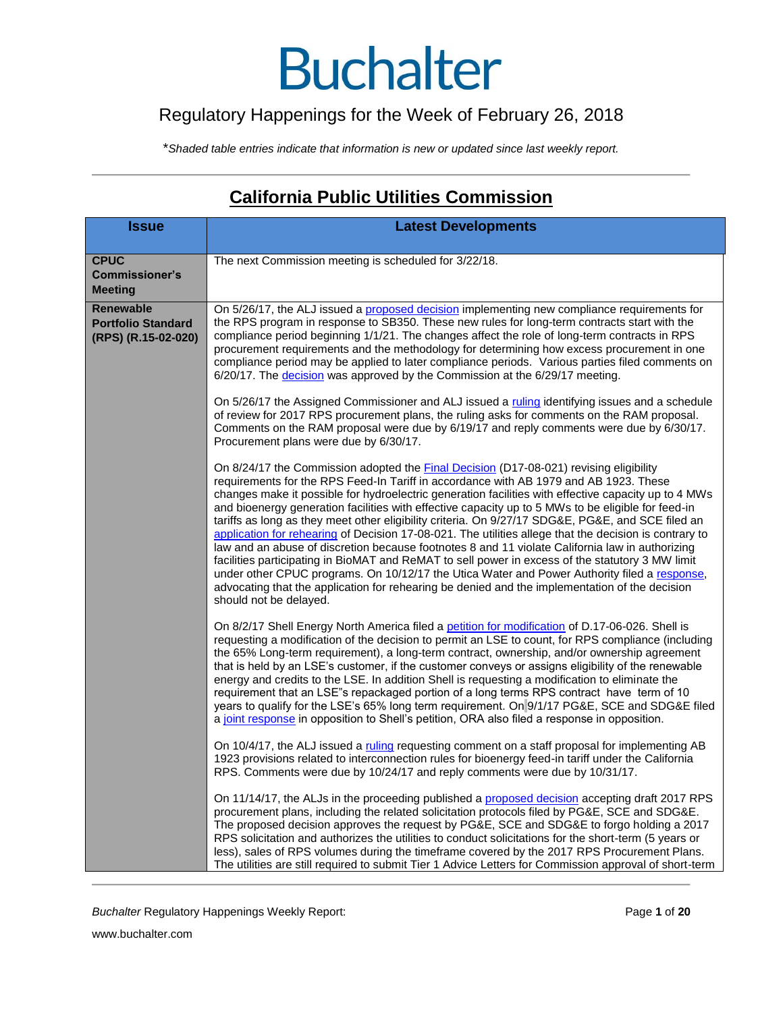#### Regulatory Happenings for the Week of February 26, 2018

\**Shaded table entries indicate that information is new or updated since last weekly report.*

#### **California Public Utilities Commission**

| <b>Issue</b>                                                         | <b>Latest Developments</b>                                                                                                                                                                                                                                                                                                                                                                                                                                                                                                                                                                                                                                                                                                                                                                                 |
|----------------------------------------------------------------------|------------------------------------------------------------------------------------------------------------------------------------------------------------------------------------------------------------------------------------------------------------------------------------------------------------------------------------------------------------------------------------------------------------------------------------------------------------------------------------------------------------------------------------------------------------------------------------------------------------------------------------------------------------------------------------------------------------------------------------------------------------------------------------------------------------|
| <b>CPUC</b><br><b>Commissioner's</b><br><b>Meeting</b>               | The next Commission meeting is scheduled for 3/22/18.                                                                                                                                                                                                                                                                                                                                                                                                                                                                                                                                                                                                                                                                                                                                                      |
| <b>Renewable</b><br><b>Portfolio Standard</b><br>(RPS) (R.15-02-020) | On 5/26/17, the ALJ issued a proposed decision implementing new compliance requirements for<br>the RPS program in response to SB350. These new rules for long-term contracts start with the<br>compliance period beginning 1/1/21. The changes affect the role of long-term contracts in RPS<br>procurement requirements and the methodology for determining how excess procurement in one<br>compliance period may be applied to later compliance periods. Various parties filed comments on<br>6/20/17. The decision was approved by the Commission at the 6/29/17 meeting.<br>On 5/26/17 the Assigned Commissioner and ALJ issued a ruling identifying issues and a schedule<br>of review for 2017 RPS procurement plans, the ruling asks for comments on the RAM proposal.                             |
|                                                                      | Comments on the RAM proposal were due by 6/19/17 and reply comments were due by 6/30/17.<br>Procurement plans were due by 6/30/17.<br>On 8/24/17 the Commission adopted the Final Decision (D17-08-021) revising eligibility<br>requirements for the RPS Feed-In Tariff in accordance with AB 1979 and AB 1923. These<br>changes make it possible for hydroelectric generation facilities with effective capacity up to 4 MWs<br>and bioenergy generation facilities with effective capacity up to 5 MWs to be eligible for feed-in<br>tariffs as long as they meet other eligibility criteria. On 9/27/17 SDG&E, PG&E, and SCE filed an<br>application for rehearing of Decision 17-08-021. The utilities allege that the decision is contrary to                                                         |
|                                                                      | law and an abuse of discretion because footnotes 8 and 11 violate California law in authorizing<br>facilities participating in BioMAT and ReMAT to sell power in excess of the statutory 3 MW limit<br>under other CPUC programs. On 10/12/17 the Utica Water and Power Authority filed a response,<br>advocating that the application for rehearing be denied and the implementation of the decision<br>should not be delayed.                                                                                                                                                                                                                                                                                                                                                                            |
|                                                                      | On 8/2/17 Shell Energy North America filed a petition for modification of D.17-06-026. Shell is<br>requesting a modification of the decision to permit an LSE to count, for RPS compliance (including<br>the 65% Long-term requirement), a long-term contract, ownership, and/or ownership agreement<br>that is held by an LSE's customer, if the customer conveys or assigns eligibility of the renewable<br>energy and credits to the LSE. In addition Shell is requesting a modification to eliminate the<br>requirement that an LSE"s repackaged portion of a long terms RPS contract have term of 10<br>years to qualify for the LSE's 65% long term requirement. On 9/1/17 PG&E, SCE and SDG&E filed<br>a joint response in opposition to Shell's petition, ORA also filed a response in opposition. |
|                                                                      | On 10/4/17, the ALJ issued a ruling requesting comment on a staff proposal for implementing AB<br>1923 provisions related to interconnection rules for bioenergy feed-in tariff under the California<br>RPS. Comments were due by 10/24/17 and reply comments were due by 10/31/17.                                                                                                                                                                                                                                                                                                                                                                                                                                                                                                                        |
|                                                                      | On 11/14/17, the ALJs in the proceeding published a proposed decision accepting draft 2017 RPS<br>procurement plans, including the related solicitation protocols filed by PG&E, SCE and SDG&E.<br>The proposed decision approves the request by PG&E, SCE and SDG&E to forgo holding a 2017<br>RPS solicitation and authorizes the utilities to conduct solicitations for the short-term (5 years or<br>less), sales of RPS volumes during the timeframe covered by the 2017 RPS Procurement Plans.<br>The utilities are still required to submit Tier 1 Advice Letters for Commission approval of short-term                                                                                                                                                                                             |

**Buchalter Regulatory Happenings Weekly Report:** Page 1 of 20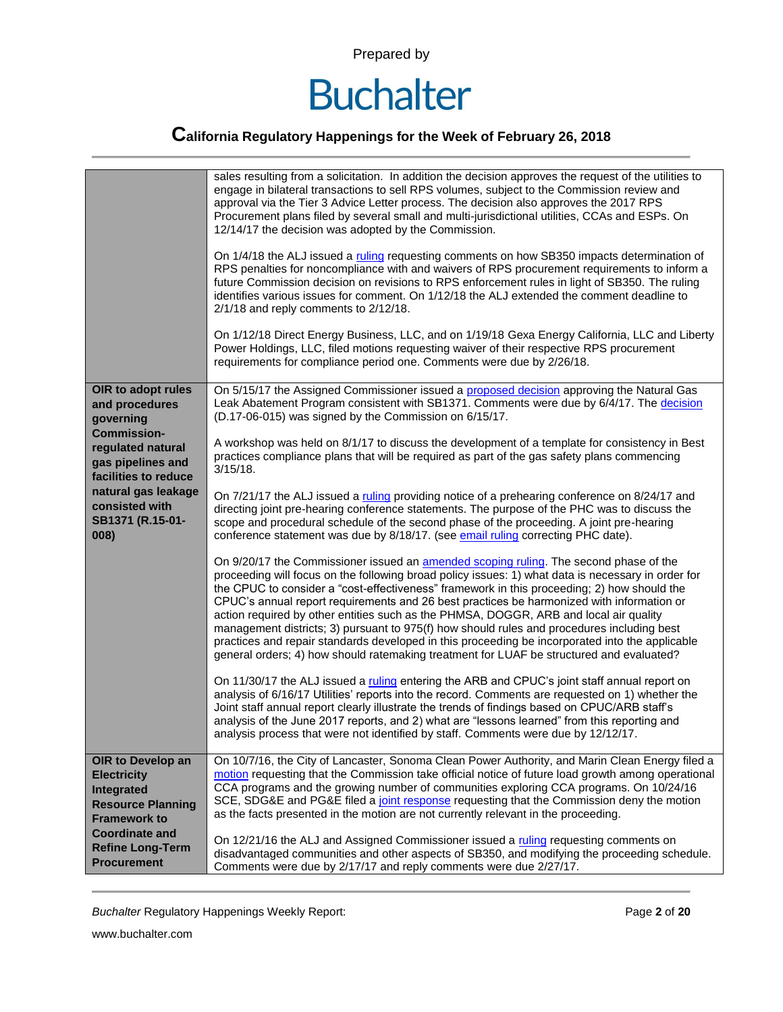

|                                                                                                                                                                                                                | sales resulting from a solicitation. In addition the decision approves the request of the utilities to<br>engage in bilateral transactions to sell RPS volumes, subject to the Commission review and<br>approval via the Tier 3 Advice Letter process. The decision also approves the 2017 RPS<br>Procurement plans filed by several small and multi-jurisdictional utilities, CCAs and ESPs. On<br>12/14/17 the decision was adopted by the Commission.<br>On 1/4/18 the ALJ issued a ruling requesting comments on how SB350 impacts determination of<br>RPS penalties for noncompliance with and waivers of RPS procurement requirements to inform a<br>future Commission decision on revisions to RPS enforcement rules in light of SB350. The ruling<br>identifies various issues for comment. On 1/12/18 the ALJ extended the comment deadline to<br>2/1/18 and reply comments to 2/12/18.<br>On 1/12/18 Direct Energy Business, LLC, and on 1/19/18 Gexa Energy California, LLC and Liberty<br>Power Holdings, LLC, filed motions requesting waiver of their respective RPS procurement<br>requirements for compliance period one. Comments were due by 2/26/18. |
|----------------------------------------------------------------------------------------------------------------------------------------------------------------------------------------------------------------|-------------------------------------------------------------------------------------------------------------------------------------------------------------------------------------------------------------------------------------------------------------------------------------------------------------------------------------------------------------------------------------------------------------------------------------------------------------------------------------------------------------------------------------------------------------------------------------------------------------------------------------------------------------------------------------------------------------------------------------------------------------------------------------------------------------------------------------------------------------------------------------------------------------------------------------------------------------------------------------------------------------------------------------------------------------------------------------------------------------------------------------------------------------------------|
| OIR to adopt rules<br>and procedures<br>governing<br><b>Commission-</b><br>regulated natural<br>gas pipelines and<br>facilities to reduce<br>natural gas leakage<br>consisted with<br>SB1371 (R.15-01-<br>008) | On 5/15/17 the Assigned Commissioner issued a proposed decision approving the Natural Gas<br>Leak Abatement Program consistent with SB1371. Comments were due by 6/4/17. The decision<br>(D.17-06-015) was signed by the Commission on 6/15/17.<br>A workshop was held on 8/1/17 to discuss the development of a template for consistency in Best<br>practices compliance plans that will be required as part of the gas safety plans commencing                                                                                                                                                                                                                                                                                                                                                                                                                                                                                                                                                                                                                                                                                                                        |
|                                                                                                                                                                                                                | $3/15/18$ .<br>On 7/21/17 the ALJ issued a ruling providing notice of a prehearing conference on 8/24/17 and<br>directing joint pre-hearing conference statements. The purpose of the PHC was to discuss the<br>scope and procedural schedule of the second phase of the proceeding. A joint pre-hearing<br>conference statement was due by 8/18/17. (see email ruling correcting PHC date).                                                                                                                                                                                                                                                                                                                                                                                                                                                                                                                                                                                                                                                                                                                                                                            |
|                                                                                                                                                                                                                | On 9/20/17 the Commissioner issued an amended scoping ruling. The second phase of the<br>proceeding will focus on the following broad policy issues: 1) what data is necessary in order for<br>the CPUC to consider a "cost-effectiveness" framework in this proceeding; 2) how should the<br>CPUC's annual report requirements and 26 best practices be harmonized with information or<br>action required by other entities such as the PHMSA, DOGGR, ARB and local air quality<br>management districts; 3) pursuant to 975(f) how should rules and procedures including best<br>practices and repair standards developed in this proceeding be incorporated into the applicable<br>general orders; 4) how should ratemaking treatment for LUAF be structured and evaluated?                                                                                                                                                                                                                                                                                                                                                                                           |
|                                                                                                                                                                                                                | On 11/30/17 the ALJ issued a ruling entering the ARB and CPUC's joint staff annual report on<br>analysis of 6/16/17 Utilities' reports into the record. Comments are requested on 1) whether the<br>Joint staff annual report clearly illustrate the trends of findings based on CPUC/ARB staff's<br>analysis of the June 2017 reports, and 2) what are "lessons learned" from this reporting and<br>analysis process that were not identified by staff. Comments were due by 12/12/17.                                                                                                                                                                                                                                                                                                                                                                                                                                                                                                                                                                                                                                                                                 |
| OIR to Develop an<br><b>Electricity</b><br>Integrated<br><b>Resource Planning</b><br><b>Framework to</b><br><b>Coordinate and</b>                                                                              | On 10/7/16, the City of Lancaster, Sonoma Clean Power Authority, and Marin Clean Energy filed a<br>motion requesting that the Commission take official notice of future load growth among operational<br>CCA programs and the growing number of communities exploring CCA programs. On 10/24/16<br>SCE, SDG&E and PG&E filed a joint response requesting that the Commission deny the motion<br>as the facts presented in the motion are not currently relevant in the proceeding.                                                                                                                                                                                                                                                                                                                                                                                                                                                                                                                                                                                                                                                                                      |
| <b>Refine Long-Term</b><br><b>Procurement</b>                                                                                                                                                                  | On 12/21/16 the ALJ and Assigned Commissioner issued a ruling requesting comments on<br>disadvantaged communities and other aspects of SB350, and modifying the proceeding schedule.<br>Comments were due by 2/17/17 and reply comments were due 2/27/17.                                                                                                                                                                                                                                                                                                                                                                                                                                                                                                                                                                                                                                                                                                                                                                                                                                                                                                               |

**Buchalter Regulatory Happenings Weekly Report:** Page 2 of 20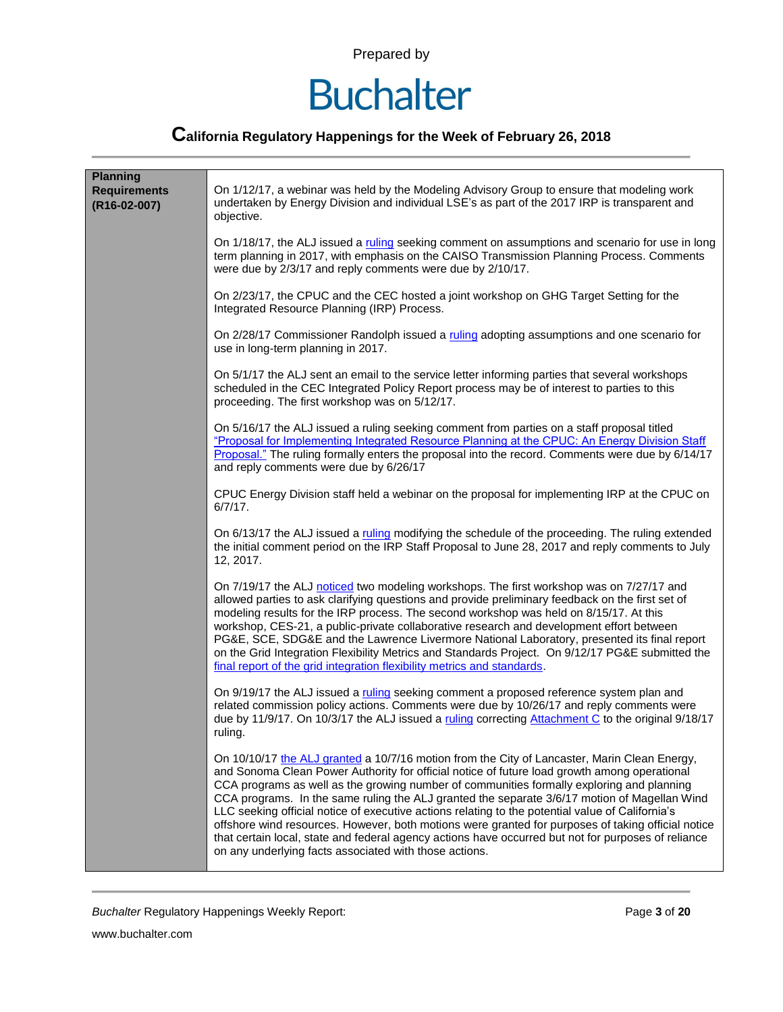### **Buchalter**

### **California Regulatory Happenings for the Week of February 26, 2018**

| <b>Planning</b><br><b>Requirements</b><br>(R16-02-007) | On 1/12/17, a webinar was held by the Modeling Advisory Group to ensure that modeling work<br>undertaken by Energy Division and individual LSE's as part of the 2017 IRP is transparent and<br>objective.                                                                                                                                                                                                                                                                                                                                                                                                                                                                                                                                                            |
|--------------------------------------------------------|----------------------------------------------------------------------------------------------------------------------------------------------------------------------------------------------------------------------------------------------------------------------------------------------------------------------------------------------------------------------------------------------------------------------------------------------------------------------------------------------------------------------------------------------------------------------------------------------------------------------------------------------------------------------------------------------------------------------------------------------------------------------|
|                                                        | On 1/18/17, the ALJ issued a ruling seeking comment on assumptions and scenario for use in long<br>term planning in 2017, with emphasis on the CAISO Transmission Planning Process. Comments<br>were due by 2/3/17 and reply comments were due by 2/10/17.                                                                                                                                                                                                                                                                                                                                                                                                                                                                                                           |
|                                                        | On 2/23/17, the CPUC and the CEC hosted a joint workshop on GHG Target Setting for the<br>Integrated Resource Planning (IRP) Process.                                                                                                                                                                                                                                                                                                                                                                                                                                                                                                                                                                                                                                |
|                                                        | On 2/28/17 Commissioner Randolph issued a ruling adopting assumptions and one scenario for<br>use in long-term planning in 2017.                                                                                                                                                                                                                                                                                                                                                                                                                                                                                                                                                                                                                                     |
|                                                        | On 5/1/17 the ALJ sent an email to the service letter informing parties that several workshops<br>scheduled in the CEC Integrated Policy Report process may be of interest to parties to this<br>proceeding. The first workshop was on 5/12/17.                                                                                                                                                                                                                                                                                                                                                                                                                                                                                                                      |
|                                                        | On 5/16/17 the ALJ issued a ruling seeking comment from parties on a staff proposal titled<br>"Proposal for Implementing Integrated Resource Planning at the CPUC: An Energy Division Staff<br>Proposal." The ruling formally enters the proposal into the record. Comments were due by 6/14/17<br>and reply comments were due by 6/26/17                                                                                                                                                                                                                                                                                                                                                                                                                            |
|                                                        | CPUC Energy Division staff held a webinar on the proposal for implementing IRP at the CPUC on<br>$6/7/17$ .                                                                                                                                                                                                                                                                                                                                                                                                                                                                                                                                                                                                                                                          |
|                                                        | On 6/13/17 the ALJ issued a ruling modifying the schedule of the proceeding. The ruling extended<br>the initial comment period on the IRP Staff Proposal to June 28, 2017 and reply comments to July<br>12, 2017.                                                                                                                                                                                                                                                                                                                                                                                                                                                                                                                                                    |
|                                                        | On 7/19/17 the ALJ noticed two modeling workshops. The first workshop was on 7/27/17 and<br>allowed parties to ask clarifying questions and provide preliminary feedback on the first set of<br>modeling results for the IRP process. The second workshop was held on 8/15/17. At this<br>workshop, CES-21, a public-private collaborative research and development effort between<br>PG&E, SCE, SDG&E and the Lawrence Livermore National Laboratory, presented its final report<br>on the Grid Integration Flexibility Metrics and Standards Project. On 9/12/17 PG&E submitted the<br>final report of the grid integration flexibility metrics and standards.                                                                                                     |
|                                                        | On 9/19/17 the ALJ issued a ruling seeking comment a proposed reference system plan and<br>related commission policy actions. Comments were due by 10/26/17 and reply comments were<br>due by 11/9/17. On 10/3/17 the ALJ issued a ruling correcting Attachment C to the original 9/18/17<br>ruling.                                                                                                                                                                                                                                                                                                                                                                                                                                                                 |
|                                                        | On 10/10/17 the ALJ granted a 10/7/16 motion from the City of Lancaster, Marin Clean Energy,<br>and Sonoma Clean Power Authority for official notice of future load growth among operational<br>CCA programs as well as the growing number of communities formally exploring and planning<br>CCA programs. In the same ruling the ALJ granted the separate 3/6/17 motion of Magellan Wind<br>LLC seeking official notice of executive actions relating to the potential value of California's<br>offshore wind resources. However, both motions were granted for purposes of taking official notice<br>that certain local, state and federal agency actions have occurred but not for purposes of reliance<br>on any underlying facts associated with those actions. |

**Buchalter Regulatory Happenings Weekly Report:** Page 3 of 20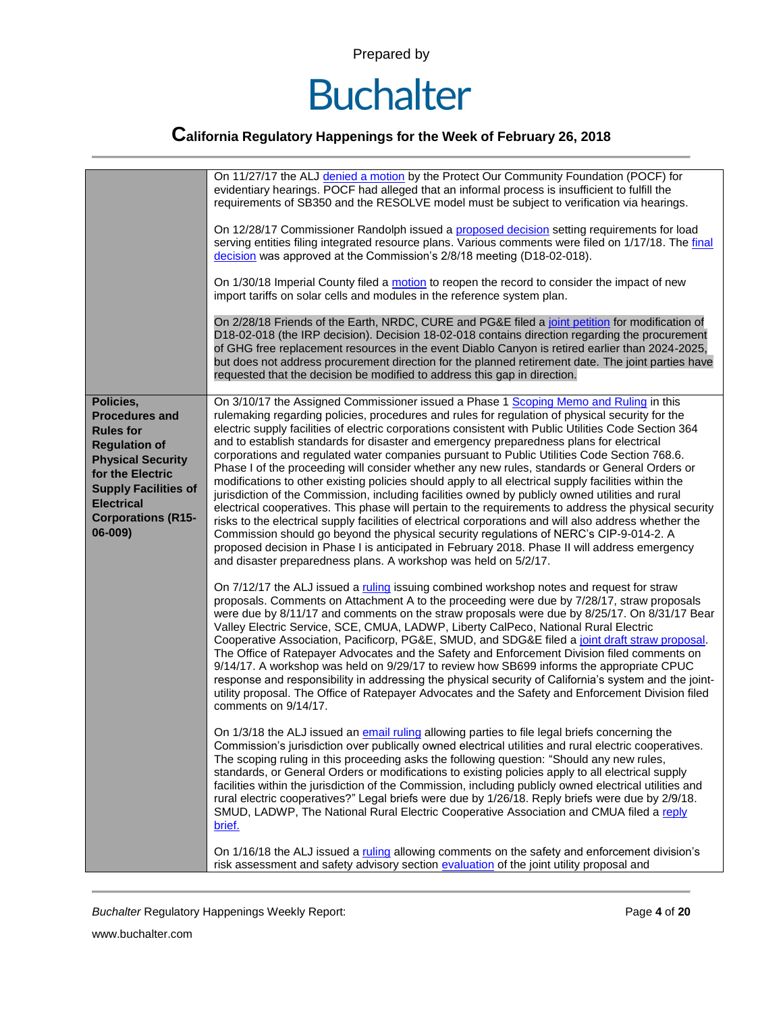

|                                                                                                                                                                                                                            | On 11/27/17 the ALJ denied a motion by the Protect Our Community Foundation (POCF) for<br>evidentiary hearings. POCF had alleged that an informal process is insufficient to fulfill the<br>requirements of SB350 and the RESOLVE model must be subject to verification via hearings.                                                                                                                                                                                                                                                                                                                                                                                                                                                                                                                                                                                                                                                                                                                                                                                                                                                                                                                                                                                                     |
|----------------------------------------------------------------------------------------------------------------------------------------------------------------------------------------------------------------------------|-------------------------------------------------------------------------------------------------------------------------------------------------------------------------------------------------------------------------------------------------------------------------------------------------------------------------------------------------------------------------------------------------------------------------------------------------------------------------------------------------------------------------------------------------------------------------------------------------------------------------------------------------------------------------------------------------------------------------------------------------------------------------------------------------------------------------------------------------------------------------------------------------------------------------------------------------------------------------------------------------------------------------------------------------------------------------------------------------------------------------------------------------------------------------------------------------------------------------------------------------------------------------------------------|
|                                                                                                                                                                                                                            | On 12/28/17 Commissioner Randolph issued a proposed decision setting requirements for load<br>serving entities filing integrated resource plans. Various comments were filed on 1/17/18. The final<br>decision was approved at the Commission's 2/8/18 meeting (D18-02-018).                                                                                                                                                                                                                                                                                                                                                                                                                                                                                                                                                                                                                                                                                                                                                                                                                                                                                                                                                                                                              |
|                                                                                                                                                                                                                            | On 1/30/18 Imperial County filed a motion to reopen the record to consider the impact of new<br>import tariffs on solar cells and modules in the reference system plan.                                                                                                                                                                                                                                                                                                                                                                                                                                                                                                                                                                                                                                                                                                                                                                                                                                                                                                                                                                                                                                                                                                                   |
|                                                                                                                                                                                                                            | On 2/28/18 Friends of the Earth, NRDC, CURE and PG&E filed a joint petition for modification of<br>D18-02-018 (the IRP decision). Decision 18-02-018 contains direction regarding the procurement<br>of GHG free replacement resources in the event Diablo Canyon is retired earlier than 2024-2025,<br>but does not address procurement direction for the planned retirement date. The joint parties have<br>requested that the decision be modified to address this gap in direction.                                                                                                                                                                                                                                                                                                                                                                                                                                                                                                                                                                                                                                                                                                                                                                                                   |
| Policies,<br><b>Procedures and</b><br><b>Rules for</b><br><b>Regulation of</b><br><b>Physical Security</b><br>for the Electric<br><b>Supply Facilities of</b><br><b>Electrical</b><br><b>Corporations (R15-</b><br>06-009) | On 3/10/17 the Assigned Commissioner issued a Phase 1 Scoping Memo and Ruling in this<br>rulemaking regarding policies, procedures and rules for regulation of physical security for the<br>electric supply facilities of electric corporations consistent with Public Utilities Code Section 364<br>and to establish standards for disaster and emergency preparedness plans for electrical<br>corporations and regulated water companies pursuant to Public Utilities Code Section 768.6.<br>Phase I of the proceeding will consider whether any new rules, standards or General Orders or<br>modifications to other existing policies should apply to all electrical supply facilities within the<br>jurisdiction of the Commission, including facilities owned by publicly owned utilities and rural<br>electrical cooperatives. This phase will pertain to the requirements to address the physical security<br>risks to the electrical supply facilities of electrical corporations and will also address whether the<br>Commission should go beyond the physical security regulations of NERC's CIP-9-014-2. A<br>proposed decision in Phase I is anticipated in February 2018. Phase II will address emergency<br>and disaster preparedness plans. A workshop was held on 5/2/17. |
|                                                                                                                                                                                                                            | On 7/12/17 the ALJ issued a ruling issuing combined workshop notes and request for straw<br>proposals. Comments on Attachment A to the proceeding were due by 7/28/17, straw proposals<br>were due by 8/11/17 and comments on the straw proposals were due by 8/25/17. On 8/31/17 Bear<br>Valley Electric Service, SCE, CMUA, LADWP, Liberty CalPeco, National Rural Electric<br>Cooperative Association, Pacificorp, PG&E, SMUD, and SDG&E filed a joint draft straw proposal.<br>The Office of Ratepayer Advocates and the Safety and Enforcement Division filed comments on<br>9/14/17. A workshop was held on 9/29/17 to review how SB699 informs the appropriate CPUC<br>response and responsibility in addressing the physical security of California's system and the joint-<br>utility proposal. The Office of Ratepayer Advocates and the Safety and Enforcement Division filed<br>comments on 9/14/17.                                                                                                                                                                                                                                                                                                                                                                          |
|                                                                                                                                                                                                                            | On 1/3/18 the ALJ issued an email ruling allowing parties to file legal briefs concerning the<br>Commission's jurisdiction over publically owned electrical utilities and rural electric cooperatives.<br>The scoping ruling in this proceeding asks the following question: "Should any new rules,<br>standards, or General Orders or modifications to existing policies apply to all electrical supply<br>facilities within the jurisdiction of the Commission, including publicly owned electrical utilities and<br>rural electric cooperatives?" Legal briefs were due by 1/26/18. Reply briefs were due by 2/9/18.<br>SMUD, LADWP, The National Rural Electric Cooperative Association and CMUA filed a reply<br>brief.                                                                                                                                                                                                                                                                                                                                                                                                                                                                                                                                                              |
|                                                                                                                                                                                                                            | On 1/16/18 the ALJ issued a ruling allowing comments on the safety and enforcement division's<br>risk assessment and safety advisory section evaluation of the joint utility proposal and                                                                                                                                                                                                                                                                                                                                                                                                                                                                                                                                                                                                                                                                                                                                                                                                                                                                                                                                                                                                                                                                                                 |

**Buchalter Regulatory Happenings Weekly Report:** Page 4 of 20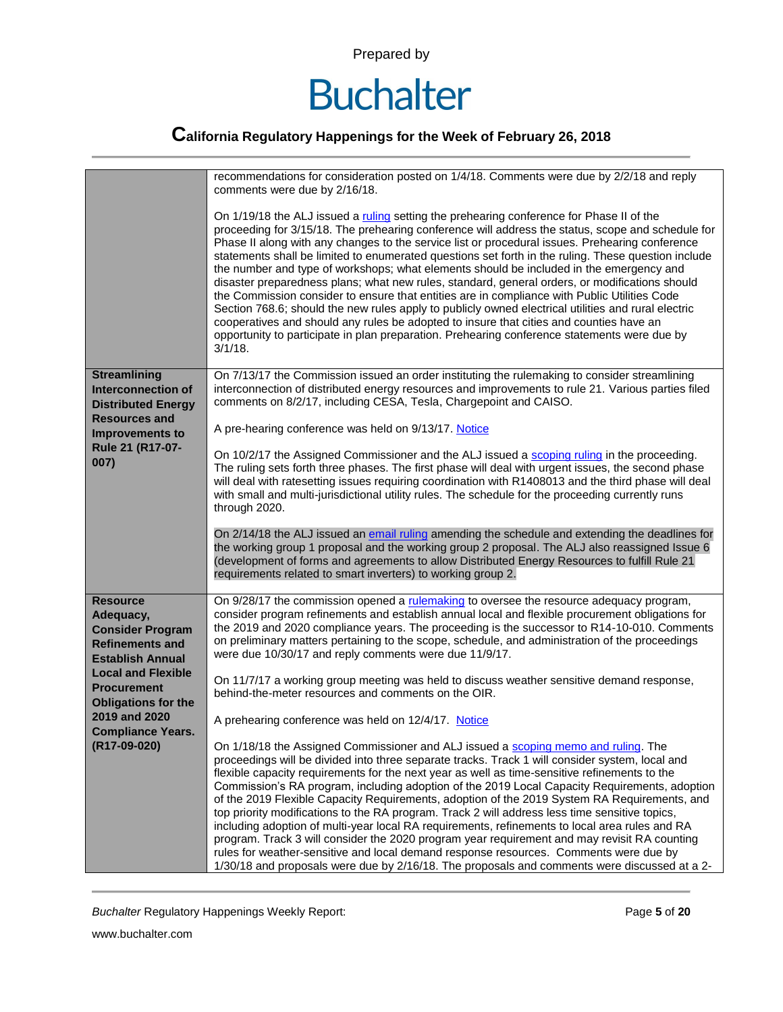

|                                                                                                                                                                                                                                                            | recommendations for consideration posted on 1/4/18. Comments were due by 2/2/18 and reply<br>comments were due by 2/16/18.                                                                                                                                                                                                                                                                                                                                                                                                                                                                                                                                                                                                                                                                                                                                                                                                                                                                                           |
|------------------------------------------------------------------------------------------------------------------------------------------------------------------------------------------------------------------------------------------------------------|----------------------------------------------------------------------------------------------------------------------------------------------------------------------------------------------------------------------------------------------------------------------------------------------------------------------------------------------------------------------------------------------------------------------------------------------------------------------------------------------------------------------------------------------------------------------------------------------------------------------------------------------------------------------------------------------------------------------------------------------------------------------------------------------------------------------------------------------------------------------------------------------------------------------------------------------------------------------------------------------------------------------|
|                                                                                                                                                                                                                                                            | On 1/19/18 the ALJ issued a ruling setting the prehearing conference for Phase II of the<br>proceeding for 3/15/18. The prehearing conference will address the status, scope and schedule for<br>Phase II along with any changes to the service list or procedural issues. Prehearing conference<br>statements shall be limited to enumerated questions set forth in the ruling. These question include<br>the number and type of workshops; what elements should be included in the emergency and<br>disaster preparedness plans; what new rules, standard, general orders, or modifications should<br>the Commission consider to ensure that entities are in compliance with Public Utilities Code<br>Section 768.6; should the new rules apply to publicly owned electrical utilities and rural electric<br>cooperatives and should any rules be adopted to insure that cities and counties have an<br>opportunity to participate in plan preparation. Prehearing conference statements were due by<br>$3/1/18$ . |
| <b>Streamlining</b><br><b>Interconnection of</b><br><b>Distributed Energy</b>                                                                                                                                                                              | On 7/13/17 the Commission issued an order instituting the rulemaking to consider streamlining<br>interconnection of distributed energy resources and improvements to rule 21. Various parties filed<br>comments on 8/2/17, including CESA, Tesla, Chargepoint and CAISO.                                                                                                                                                                                                                                                                                                                                                                                                                                                                                                                                                                                                                                                                                                                                             |
| <b>Resources and</b><br><b>Improvements to</b>                                                                                                                                                                                                             | A pre-hearing conference was held on 9/13/17. Notice                                                                                                                                                                                                                                                                                                                                                                                                                                                                                                                                                                                                                                                                                                                                                                                                                                                                                                                                                                 |
| Rule 21 (R17-07-<br>007)                                                                                                                                                                                                                                   | On 10/2/17 the Assigned Commissioner and the ALJ issued a scoping ruling in the proceeding.<br>The ruling sets forth three phases. The first phase will deal with urgent issues, the second phase<br>will deal with ratesetting issues requiring coordination with R1408013 and the third phase will deal<br>with small and multi-jurisdictional utility rules. The schedule for the proceeding currently runs<br>through 2020.                                                                                                                                                                                                                                                                                                                                                                                                                                                                                                                                                                                      |
|                                                                                                                                                                                                                                                            | On 2/14/18 the ALJ issued an email ruling amending the schedule and extending the deadlines for<br>the working group 1 proposal and the working group 2 proposal. The ALJ also reassigned Issue 6<br>(development of forms and agreements to allow Distributed Energy Resources to fulfill Rule 21<br>requirements related to smart inverters) to working group 2.                                                                                                                                                                                                                                                                                                                                                                                                                                                                                                                                                                                                                                                   |
| <b>Resource</b><br>Adequacy,<br><b>Consider Program</b><br><b>Refinements and</b><br><b>Establish Annual</b><br><b>Local and Flexible</b><br><b>Procurement</b><br><b>Obligations for the</b><br>2019 and 2020<br><b>Compliance Years.</b><br>(R17-09-020) | On 9/28/17 the commission opened a rulemaking to oversee the resource adequacy program,<br>consider program refinements and establish annual local and flexible procurement obligations for<br>the 2019 and 2020 compliance years. The proceeding is the successor to R14-10-010. Comments<br>on preliminary matters pertaining to the scope, schedule, and administration of the proceedings<br>were due 10/30/17 and reply comments were due 11/9/17.                                                                                                                                                                                                                                                                                                                                                                                                                                                                                                                                                              |
|                                                                                                                                                                                                                                                            | On 11/7/17 a working group meeting was held to discuss weather sensitive demand response,<br>behind-the-meter resources and comments on the OIR.                                                                                                                                                                                                                                                                                                                                                                                                                                                                                                                                                                                                                                                                                                                                                                                                                                                                     |
|                                                                                                                                                                                                                                                            | A prehearing conference was held on 12/4/17. Notice                                                                                                                                                                                                                                                                                                                                                                                                                                                                                                                                                                                                                                                                                                                                                                                                                                                                                                                                                                  |
|                                                                                                                                                                                                                                                            | On 1/18/18 the Assigned Commissioner and ALJ issued a scoping memo and ruling. The<br>proceedings will be divided into three separate tracks. Track 1 will consider system, local and<br>flexible capacity requirements for the next year as well as time-sensitive refinements to the<br>Commission's RA program, including adoption of the 2019 Local Capacity Requirements, adoption<br>of the 2019 Flexible Capacity Requirements, adoption of the 2019 System RA Requirements, and<br>top priority modifications to the RA program. Track 2 will address less time sensitive topics,<br>including adoption of multi-year local RA requirements, refinements to local area rules and RA<br>program. Track 3 will consider the 2020 program year requirement and may revisit RA counting<br>rules for weather-sensitive and local demand response resources. Comments were due by<br>1/30/18 and proposals were due by 2/16/18. The proposals and comments were discussed at a 2-                                 |

**Buchalter Regulatory Happenings Weekly Report:** Page 5 of 20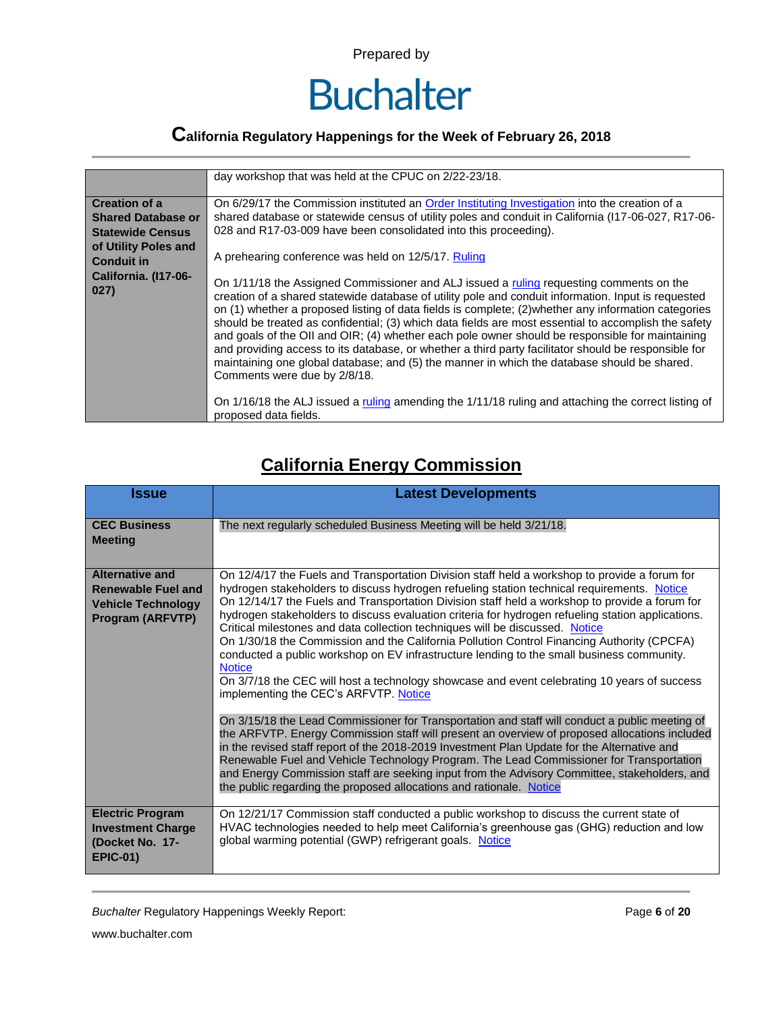

### **California Regulatory Happenings for the Week of February 26, 2018**

|                                                                                                                                                           | day workshop that was held at the CPUC on 2/22-23/18.                                                                                                                                                                                                                                                                                                                                                                                                                                                                                                                                                                                                                                                                                                                                                                                                                                                                                                                                                                                                                                                                                                                                                                        |
|-----------------------------------------------------------------------------------------------------------------------------------------------------------|------------------------------------------------------------------------------------------------------------------------------------------------------------------------------------------------------------------------------------------------------------------------------------------------------------------------------------------------------------------------------------------------------------------------------------------------------------------------------------------------------------------------------------------------------------------------------------------------------------------------------------------------------------------------------------------------------------------------------------------------------------------------------------------------------------------------------------------------------------------------------------------------------------------------------------------------------------------------------------------------------------------------------------------------------------------------------------------------------------------------------------------------------------------------------------------------------------------------------|
| <b>Creation of a</b><br><b>Shared Database or</b><br><b>Statewide Census</b><br>of Utility Poles and<br><b>Conduit in</b><br>California. (I17-06-<br>027) | On 6/29/17 the Commission instituted an Order Instituting Investigation into the creation of a<br>shared database or statewide census of utility poles and conduit in California (117-06-027, R17-06-<br>028 and R17-03-009 have been consolidated into this proceeding).<br>A prehearing conference was held on 12/5/17. Ruling<br>On 1/11/18 the Assigned Commissioner and ALJ issued a ruling requesting comments on the<br>creation of a shared statewide database of utility pole and conduit information. Input is requested<br>on (1) whether a proposed listing of data fields is complete; (2) whether any information categories<br>should be treated as confidential; (3) which data fields are most essential to accomplish the safety<br>and goals of the OII and OIR; (4) whether each pole owner should be responsible for maintaining<br>and providing access to its database, or whether a third party facilitator should be responsible for<br>maintaining one global database; and (5) the manner in which the database should be shared.<br>Comments were due by 2/8/18.<br>On 1/16/18 the ALJ issued a ruling amending the 1/11/18 ruling and attaching the correct listing of<br>proposed data fields. |

#### **California Energy Commission**

| <b>Issue</b>                                                                                                | <b>Latest Developments</b>                                                                                                                                                                                                                                                                                                                                                                                                                                                                                                                                                                                                                                                                                                                                                                                                                                                                                                                                                                                                                                                                                                                                                                                                                                                                                                                                                                                 |
|-------------------------------------------------------------------------------------------------------------|------------------------------------------------------------------------------------------------------------------------------------------------------------------------------------------------------------------------------------------------------------------------------------------------------------------------------------------------------------------------------------------------------------------------------------------------------------------------------------------------------------------------------------------------------------------------------------------------------------------------------------------------------------------------------------------------------------------------------------------------------------------------------------------------------------------------------------------------------------------------------------------------------------------------------------------------------------------------------------------------------------------------------------------------------------------------------------------------------------------------------------------------------------------------------------------------------------------------------------------------------------------------------------------------------------------------------------------------------------------------------------------------------------|
| <b>CEC Business</b><br><b>Meeting</b>                                                                       | The next regularly scheduled Business Meeting will be held 3/21/18.                                                                                                                                                                                                                                                                                                                                                                                                                                                                                                                                                                                                                                                                                                                                                                                                                                                                                                                                                                                                                                                                                                                                                                                                                                                                                                                                        |
| <b>Alternative and</b><br><b>Renewable Fuel and</b><br><b>Vehicle Technology</b><br><b>Program (ARFVTP)</b> | On 12/4/17 the Fuels and Transportation Division staff held a workshop to provide a forum for<br>hydrogen stakeholders to discuss hydrogen refueling station technical requirements. Notice<br>On 12/14/17 the Fuels and Transportation Division staff held a workshop to provide a forum for<br>hydrogen stakeholders to discuss evaluation criteria for hydrogen refueling station applications.<br>Critical milestones and data collection techniques will be discussed. Notice<br>On 1/30/18 the Commission and the California Pollution Control Financing Authority (CPCFA)<br>conducted a public workshop on EV infrastructure lending to the small business community.<br><b>Notice</b><br>On 3/7/18 the CEC will host a technology showcase and event celebrating 10 years of success<br>implementing the CEC's ARFVTP. Notice<br>On 3/15/18 the Lead Commissioner for Transportation and staff will conduct a public meeting of<br>the ARFVTP. Energy Commission staff will present an overview of proposed allocations included<br>in the revised staff report of the 2018-2019 Investment Plan Update for the Alternative and<br>Renewable Fuel and Vehicle Technology Program. The Lead Commissioner for Transportation<br>and Energy Commission staff are seeking input from the Advisory Committee, stakeholders, and<br>the public regarding the proposed allocations and rationale. Notice |
| <b>Electric Program</b><br><b>Investment Charge</b><br>(Docket No. 17-<br><b>EPIC-01)</b>                   | On 12/21/17 Commission staff conducted a public workshop to discuss the current state of<br>HVAC technologies needed to help meet California's greenhouse gas (GHG) reduction and low<br>global warming potential (GWP) refrigerant goals. Notice                                                                                                                                                                                                                                                                                                                                                                                                                                                                                                                                                                                                                                                                                                                                                                                                                                                                                                                                                                                                                                                                                                                                                          |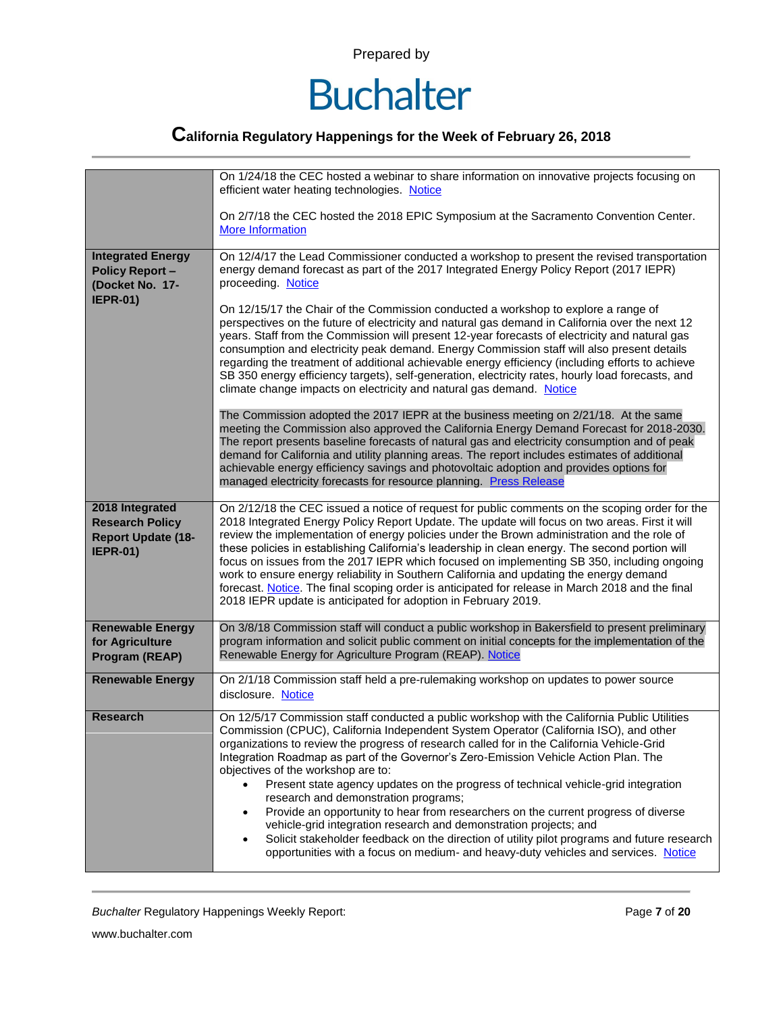

|                                                                                           | On 1/24/18 the CEC hosted a webinar to share information on innovative projects focusing on<br>efficient water heating technologies. Notice                                                                                                                                                                                                                                                                                                                                                                                                                                                                                                                                                                                                                                                                                                                                                     |
|-------------------------------------------------------------------------------------------|-------------------------------------------------------------------------------------------------------------------------------------------------------------------------------------------------------------------------------------------------------------------------------------------------------------------------------------------------------------------------------------------------------------------------------------------------------------------------------------------------------------------------------------------------------------------------------------------------------------------------------------------------------------------------------------------------------------------------------------------------------------------------------------------------------------------------------------------------------------------------------------------------|
|                                                                                           | On 2/7/18 the CEC hosted the 2018 EPIC Symposium at the Sacramento Convention Center.<br><b>More Information</b>                                                                                                                                                                                                                                                                                                                                                                                                                                                                                                                                                                                                                                                                                                                                                                                |
| <b>Integrated Energy</b><br><b>Policy Report -</b><br>(Docket No. 17-                     | On 12/4/17 the Lead Commissioner conducted a workshop to present the revised transportation<br>energy demand forecast as part of the 2017 Integrated Energy Policy Report (2017 IEPR)<br>proceeding. Notice                                                                                                                                                                                                                                                                                                                                                                                                                                                                                                                                                                                                                                                                                     |
| <b>IEPR-01)</b>                                                                           | On 12/15/17 the Chair of the Commission conducted a workshop to explore a range of<br>perspectives on the future of electricity and natural gas demand in California over the next 12<br>years. Staff from the Commission will present 12-year forecasts of electricity and natural gas<br>consumption and electricity peak demand. Energy Commission staff will also present details<br>regarding the treatment of additional achievable energy efficiency (including efforts to achieve<br>SB 350 energy efficiency targets), self-generation, electricity rates, hourly load forecasts, and<br>climate change impacts on electricity and natural gas demand. Notice                                                                                                                                                                                                                          |
|                                                                                           | The Commission adopted the 2017 IEPR at the business meeting on 2/21/18. At the same<br>meeting the Commission also approved the California Energy Demand Forecast for 2018-2030.<br>The report presents baseline forecasts of natural gas and electricity consumption and of peak<br>demand for California and utility planning areas. The report includes estimates of additional<br>achievable energy efficiency savings and photovoltaic adoption and provides options for<br>managed electricity forecasts for resource planning. Press Release                                                                                                                                                                                                                                                                                                                                            |
| 2018 Integrated<br><b>Research Policy</b><br><b>Report Update (18-</b><br><b>IEPR-01)</b> | On 2/12/18 the CEC issued a notice of request for public comments on the scoping order for the<br>2018 Integrated Energy Policy Report Update. The update will focus on two areas. First it will<br>review the implementation of energy policies under the Brown administration and the role of<br>these policies in establishing California's leadership in clean energy. The second portion will<br>focus on issues from the 2017 IEPR which focused on implementing SB 350, including ongoing<br>work to ensure energy reliability in Southern California and updating the energy demand<br>forecast. Notice. The final scoping order is anticipated for release in March 2018 and the final<br>2018 IEPR update is anticipated for adoption in February 2019.                                                                                                                               |
| <b>Renewable Energy</b><br>for Agriculture<br>Program (REAP)                              | On 3/8/18 Commission staff will conduct a public workshop in Bakersfield to present preliminary<br>program information and solicit public comment on initial concepts for the implementation of the<br>Renewable Energy for Agriculture Program (REAP). Notice                                                                                                                                                                                                                                                                                                                                                                                                                                                                                                                                                                                                                                  |
| <b>Renewable Energy</b>                                                                   | On 2/1/18 Commission staff held a pre-rulemaking workshop on updates to power source<br>disclosure. Notice                                                                                                                                                                                                                                                                                                                                                                                                                                                                                                                                                                                                                                                                                                                                                                                      |
| <b>Research</b>                                                                           | On 12/5/17 Commission staff conducted a public workshop with the California Public Utilities<br>Commission (CPUC), California Independent System Operator (California ISO), and other<br>organizations to review the progress of research called for in the California Vehicle-Grid<br>Integration Roadmap as part of the Governor's Zero-Emission Vehicle Action Plan. The<br>objectives of the workshop are to:<br>Present state agency updates on the progress of technical vehicle-grid integration<br>research and demonstration programs;<br>Provide an opportunity to hear from researchers on the current progress of diverse<br>vehicle-grid integration research and demonstration projects; and<br>Solicit stakeholder feedback on the direction of utility pilot programs and future research<br>opportunities with a focus on medium- and heavy-duty vehicles and services. Notice |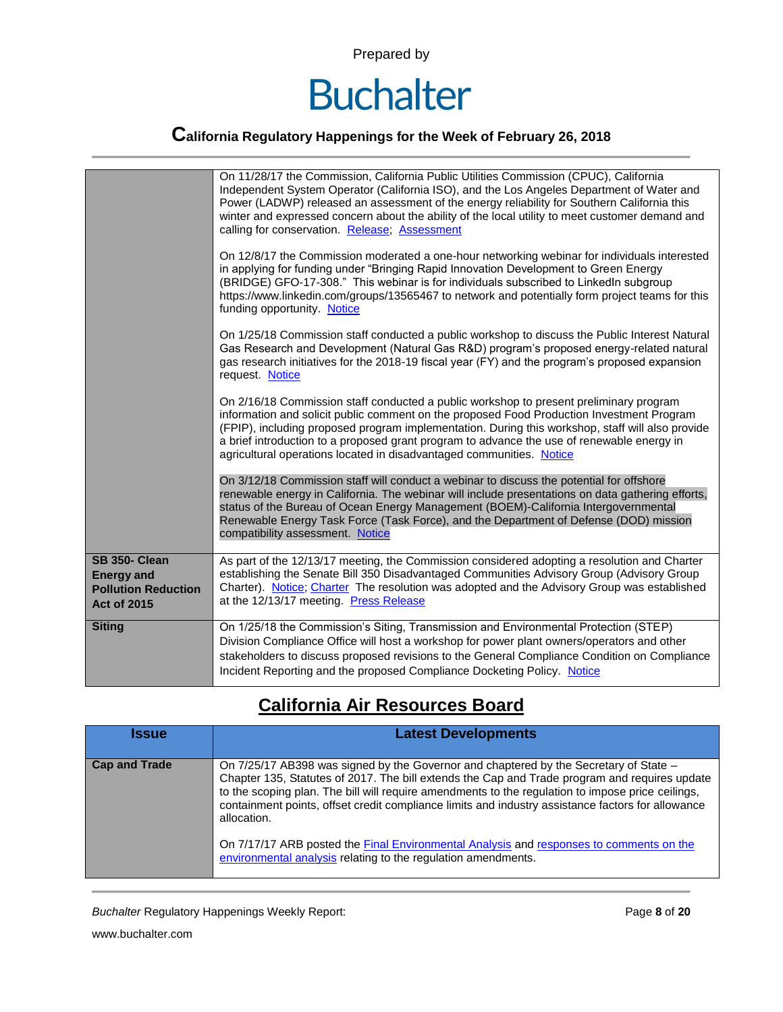

|                                                                                        | On 11/28/17 the Commission, California Public Utilities Commission (CPUC), California<br>Independent System Operator (California ISO), and the Los Angeles Department of Water and<br>Power (LADWP) released an assessment of the energy reliability for Southern California this<br>winter and expressed concern about the ability of the local utility to meet customer demand and<br>calling for conservation. Release; Assessment                         |
|----------------------------------------------------------------------------------------|---------------------------------------------------------------------------------------------------------------------------------------------------------------------------------------------------------------------------------------------------------------------------------------------------------------------------------------------------------------------------------------------------------------------------------------------------------------|
|                                                                                        | On 12/8/17 the Commission moderated a one-hour networking webinar for individuals interested<br>in applying for funding under "Bringing Rapid Innovation Development to Green Energy<br>(BRIDGE) GFO-17-308." This webinar is for individuals subscribed to LinkedIn subgroup<br>https://www.linkedin.com/groups/13565467 to network and potentially form project teams for this<br>funding opportunity. Notice                                               |
|                                                                                        | On 1/25/18 Commission staff conducted a public workshop to discuss the Public Interest Natural<br>Gas Research and Development (Natural Gas R&D) program's proposed energy-related natural<br>gas research initiatives for the 2018-19 fiscal year (FY) and the program's proposed expansion<br>request. Notice                                                                                                                                               |
|                                                                                        | On 2/16/18 Commission staff conducted a public workshop to present preliminary program<br>information and solicit public comment on the proposed Food Production Investment Program<br>(FPIP), including proposed program implementation. During this workshop, staff will also provide<br>a brief introduction to a proposed grant program to advance the use of renewable energy in<br>agricultural operations located in disadvantaged communities. Notice |
|                                                                                        | On 3/12/18 Commission staff will conduct a webinar to discuss the potential for offshore<br>renewable energy in California. The webinar will include presentations on data gathering efforts,<br>status of the Bureau of Ocean Energy Management (BOEM)-California Intergovernmental<br>Renewable Energy Task Force (Task Force), and the Department of Defense (DOD) mission<br>compatibility assessment. Notice                                             |
| SB 350- Clean<br><b>Energy and</b><br><b>Pollution Reduction</b><br><b>Act of 2015</b> | As part of the 12/13/17 meeting, the Commission considered adopting a resolution and Charter<br>establishing the Senate Bill 350 Disadvantaged Communities Advisory Group (Advisory Group<br>Charter). Notice; Charter The resolution was adopted and the Advisory Group was established<br>at the 12/13/17 meeting. Press Release                                                                                                                            |
| <b>Siting</b>                                                                          | On 1/25/18 the Commission's Siting, Transmission and Environmental Protection (STEP)<br>Division Compliance Office will host a workshop for power plant owners/operators and other<br>stakeholders to discuss proposed revisions to the General Compliance Condition on Compliance<br>Incident Reporting and the proposed Compliance Docketing Policy. Notice                                                                                                 |

#### **California Air Resources Board**

| <b>Issue</b>         | <b>Latest Developments</b>                                                                                                                                                                                                                                                                                                                                                                                                                                                                                                                                                  |
|----------------------|-----------------------------------------------------------------------------------------------------------------------------------------------------------------------------------------------------------------------------------------------------------------------------------------------------------------------------------------------------------------------------------------------------------------------------------------------------------------------------------------------------------------------------------------------------------------------------|
| <b>Cap and Trade</b> | On 7/25/17 AB398 was signed by the Governor and chaptered by the Secretary of State -<br>Chapter 135, Statutes of 2017. The bill extends the Cap and Trade program and requires update<br>to the scoping plan. The bill will require amendments to the regulation to impose price ceilings,<br>containment points, offset credit compliance limits and industry assistance factors for allowance<br>allocation.<br>On 7/17/17 ARB posted the Final Environmental Analysis and responses to comments on the<br>environmental analysis relating to the regulation amendments. |

**Buchalter Regulatory Happenings Weekly Report:** Page 8 of 20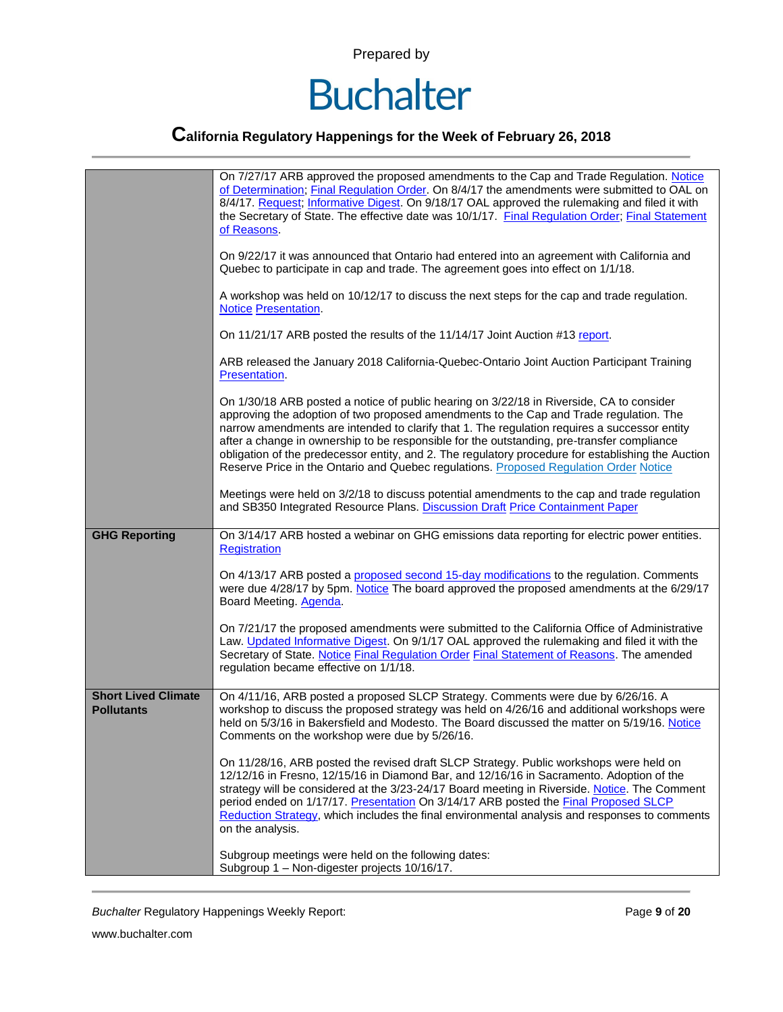

|                                                 | On 7/27/17 ARB approved the proposed amendments to the Cap and Trade Regulation. Notice<br>of Determination; Final Regulation Order. On 8/4/17 the amendments were submitted to OAL on<br>8/4/17. Request; Informative Digest. On 9/18/17 OAL approved the rulemaking and filed it with<br>the Secretary of State. The effective date was 10/1/17. Final Regulation Order; Final Statement<br>of Reasons.                                                                                                                                                                       |
|-------------------------------------------------|---------------------------------------------------------------------------------------------------------------------------------------------------------------------------------------------------------------------------------------------------------------------------------------------------------------------------------------------------------------------------------------------------------------------------------------------------------------------------------------------------------------------------------------------------------------------------------|
|                                                 | On 9/22/17 it was announced that Ontario had entered into an agreement with California and<br>Quebec to participate in cap and trade. The agreement goes into effect on 1/1/18.                                                                                                                                                                                                                                                                                                                                                                                                 |
|                                                 | A workshop was held on 10/12/17 to discuss the next steps for the cap and trade regulation.<br><b>Notice Presentation.</b>                                                                                                                                                                                                                                                                                                                                                                                                                                                      |
|                                                 | On 11/21/17 ARB posted the results of the 11/14/17 Joint Auction #13 report.                                                                                                                                                                                                                                                                                                                                                                                                                                                                                                    |
|                                                 | ARB released the January 2018 California-Quebec-Ontario Joint Auction Participant Training<br>Presentation.                                                                                                                                                                                                                                                                                                                                                                                                                                                                     |
|                                                 | On 1/30/18 ARB posted a notice of public hearing on 3/22/18 in Riverside, CA to consider<br>approving the adoption of two proposed amendments to the Cap and Trade regulation. The<br>narrow amendments are intended to clarify that 1. The regulation requires a successor entity<br>after a change in ownership to be responsible for the outstanding, pre-transfer compliance<br>obligation of the predecessor entity, and 2. The regulatory procedure for establishing the Auction<br>Reserve Price in the Ontario and Quebec regulations. Proposed Regulation Order Notice |
|                                                 | Meetings were held on 3/2/18 to discuss potential amendments to the cap and trade regulation<br>and SB350 Integrated Resource Plans. Discussion Draft Price Containment Paper                                                                                                                                                                                                                                                                                                                                                                                                   |
| <b>GHG Reporting</b>                            | On 3/14/17 ARB hosted a webinar on GHG emissions data reporting for electric power entities.<br><b>Registration</b>                                                                                                                                                                                                                                                                                                                                                                                                                                                             |
|                                                 | On 4/13/17 ARB posted a proposed second 15-day modifications to the regulation. Comments<br>were due 4/28/17 by 5pm. Notice The board approved the proposed amendments at the 6/29/17<br>Board Meeting. Agenda.                                                                                                                                                                                                                                                                                                                                                                 |
|                                                 | On 7/21/17 the proposed amendments were submitted to the California Office of Administrative<br>Law. Updated Informative Digest. On 9/1/17 OAL approved the rulemaking and filed it with the<br>Secretary of State. Notice Final Regulation Order Final Statement of Reasons. The amended<br>regulation became effective on 1/1/18.                                                                                                                                                                                                                                             |
| <b>Short Lived Climate</b><br><b>Pollutants</b> | On 4/11/16, ARB posted a proposed SLCP Strategy. Comments were due by 6/26/16. A<br>workshop to discuss the proposed strategy was held on 4/26/16 and additional workshops were<br>held on 5/3/16 in Bakersfield and Modesto. The Board discussed the matter on 5/19/16. Notice<br>Comments on the workshop were due by 5/26/16.                                                                                                                                                                                                                                                |
|                                                 | On 11/28/16, ARB posted the revised draft SLCP Strategy. Public workshops were held on<br>12/12/16 in Fresno, 12/15/16 in Diamond Bar, and 12/16/16 in Sacramento. Adoption of the<br>strategy will be considered at the 3/23-24/17 Board meeting in Riverside. Notice. The Comment<br>period ended on 1/17/17. Presentation On 3/14/17 ARB posted the Final Proposed SLCP<br>Reduction Strategy, which includes the final environmental analysis and responses to comments<br>on the analysis.                                                                                 |
|                                                 | Subgroup meetings were held on the following dates:<br>Subgroup 1 - Non-digester projects 10/16/17.                                                                                                                                                                                                                                                                                                                                                                                                                                                                             |

**Buchalter Regulatory Happenings Weekly Report:** Page 9 of 20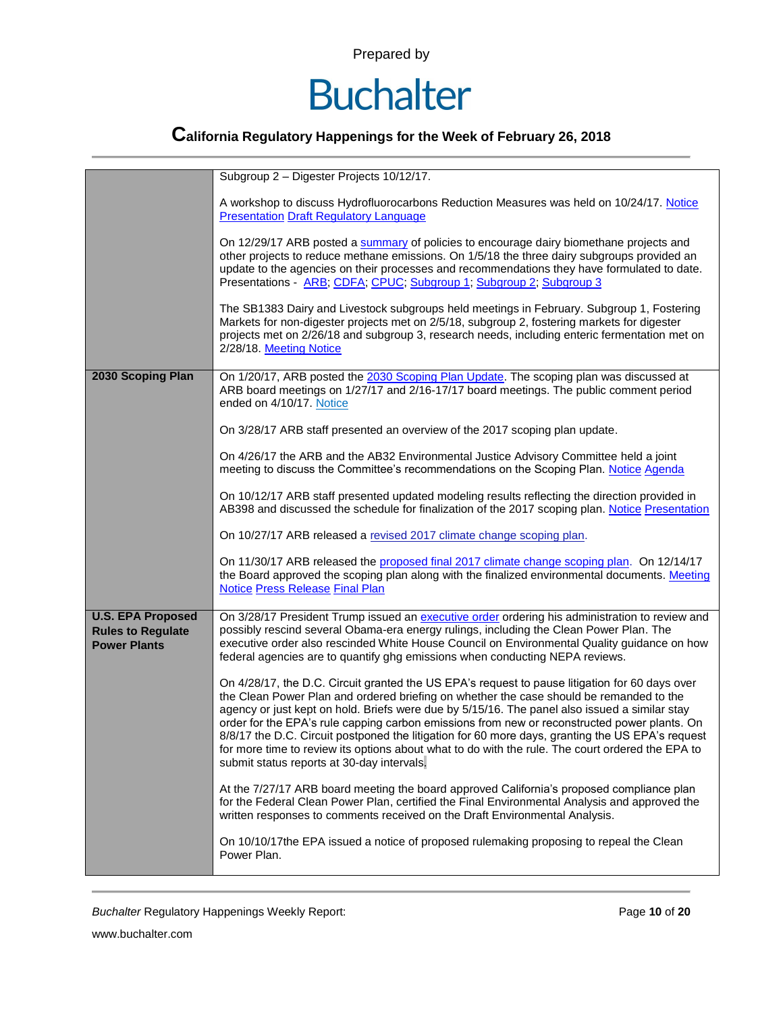

|                                                                             | Subgroup 2 - Digester Projects 10/12/17.                                                                                                                                                                                                                                                                                                                                                                                                                                                                                                                                                                                                         |
|-----------------------------------------------------------------------------|--------------------------------------------------------------------------------------------------------------------------------------------------------------------------------------------------------------------------------------------------------------------------------------------------------------------------------------------------------------------------------------------------------------------------------------------------------------------------------------------------------------------------------------------------------------------------------------------------------------------------------------------------|
|                                                                             | A workshop to discuss Hydrofluorocarbons Reduction Measures was held on 10/24/17. Notice<br><b>Presentation Draft Regulatory Language</b>                                                                                                                                                                                                                                                                                                                                                                                                                                                                                                        |
|                                                                             | On 12/29/17 ARB posted a summary of policies to encourage dairy biomethane projects and<br>other projects to reduce methane emissions. On 1/5/18 the three dairy subgroups provided an<br>update to the agencies on their processes and recommendations they have formulated to date.<br>Presentations - ARB; CDFA; CPUC; Subgroup 1; Subgroup 2; Subgroup 3                                                                                                                                                                                                                                                                                     |
|                                                                             | The SB1383 Dairy and Livestock subgroups held meetings in February. Subgroup 1, Fostering<br>Markets for non-digester projects met on 2/5/18, subgroup 2, fostering markets for digester<br>projects met on 2/26/18 and subgroup 3, research needs, including enteric fermentation met on<br>2/28/18. Meeting Notice                                                                                                                                                                                                                                                                                                                             |
| 2030 Scoping Plan                                                           | On 1/20/17, ARB posted the 2030 Scoping Plan Update. The scoping plan was discussed at<br>ARB board meetings on 1/27/17 and 2/16-17/17 board meetings. The public comment period<br>ended on 4/10/17. Notice                                                                                                                                                                                                                                                                                                                                                                                                                                     |
|                                                                             | On 3/28/17 ARB staff presented an overview of the 2017 scoping plan update.                                                                                                                                                                                                                                                                                                                                                                                                                                                                                                                                                                      |
|                                                                             | On 4/26/17 the ARB and the AB32 Environmental Justice Advisory Committee held a joint<br>meeting to discuss the Committee's recommendations on the Scoping Plan. Notice Agenda                                                                                                                                                                                                                                                                                                                                                                                                                                                                   |
|                                                                             | On 10/12/17 ARB staff presented updated modeling results reflecting the direction provided in<br>AB398 and discussed the schedule for finalization of the 2017 scoping plan. Notice Presentation                                                                                                                                                                                                                                                                                                                                                                                                                                                 |
|                                                                             | On 10/27/17 ARB released a revised 2017 climate change scoping plan.                                                                                                                                                                                                                                                                                                                                                                                                                                                                                                                                                                             |
|                                                                             | On 11/30/17 ARB released the proposed final 2017 climate change scoping plan. On 12/14/17<br>the Board approved the scoping plan along with the finalized environmental documents. Meeting<br><b>Notice Press Release Final Plan</b>                                                                                                                                                                                                                                                                                                                                                                                                             |
| <b>U.S. EPA Proposed</b><br><b>Rules to Regulate</b><br><b>Power Plants</b> | On 3/28/17 President Trump issued an executive order ordering his administration to review and<br>possibly rescind several Obama-era energy rulings, including the Clean Power Plan. The<br>executive order also rescinded White House Council on Environmental Quality guidance on how<br>federal agencies are to quantify ghg emissions when conducting NEPA reviews.                                                                                                                                                                                                                                                                          |
|                                                                             | On 4/28/17, the D.C. Circuit granted the US EPA's request to pause litigation for 60 days over<br>the Clean Power Plan and ordered briefing on whether the case should be remanded to the<br>agency or just kept on hold. Briefs were due by 5/15/16. The panel also issued a similar stay<br>order for the EPA's rule capping carbon emissions from new or reconstructed power plants. On<br>8/8/17 the D.C. Circuit postponed the litigation for 60 more days, granting the US EPA's request<br>for more time to review its options about what to do with the rule. The court ordered the EPA to<br>submit status reports at 30-day intervals. |
|                                                                             | At the 7/27/17 ARB board meeting the board approved California's proposed compliance plan<br>for the Federal Clean Power Plan, certified the Final Environmental Analysis and approved the<br>written responses to comments received on the Draft Environmental Analysis.                                                                                                                                                                                                                                                                                                                                                                        |
|                                                                             | On 10/10/17the EPA issued a notice of proposed rulemaking proposing to repeal the Clean<br>Power Plan.                                                                                                                                                                                                                                                                                                                                                                                                                                                                                                                                           |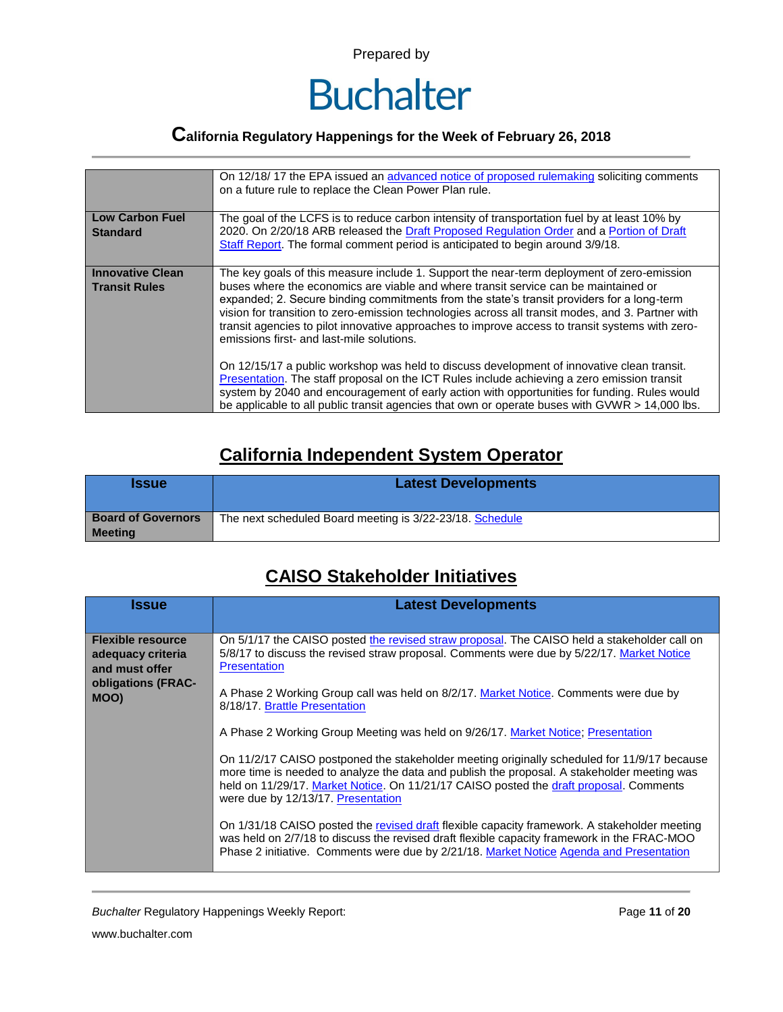

### **California Regulatory Happenings for the Week of February 26, 2018**

|                                                 | On 12/18/17 the EPA issued an advanced notice of proposed rulemaking soliciting comments<br>on a future rule to replace the Clean Power Plan rule.                                                                                                                                                                                                                                                                                                                                                                                                                                                                                                                                                                                                                                                                                |  |  |  |  |
|-------------------------------------------------|-----------------------------------------------------------------------------------------------------------------------------------------------------------------------------------------------------------------------------------------------------------------------------------------------------------------------------------------------------------------------------------------------------------------------------------------------------------------------------------------------------------------------------------------------------------------------------------------------------------------------------------------------------------------------------------------------------------------------------------------------------------------------------------------------------------------------------------|--|--|--|--|
| <b>Low Carbon Fuel</b><br><b>Standard</b>       | The goal of the LCFS is to reduce carbon intensity of transportation fuel by at least 10% by<br>2020. On 2/20/18 ARB released the Draft Proposed Regulation Order and a Portion of Draft<br>Staff Report. The formal comment period is anticipated to begin around 3/9/18.                                                                                                                                                                                                                                                                                                                                                                                                                                                                                                                                                        |  |  |  |  |
| <b>Innovative Clean</b><br><b>Transit Rules</b> | The key goals of this measure include 1. Support the near-term deployment of zero-emission<br>buses where the economics are viable and where transit service can be maintained or<br>expanded; 2. Secure binding commitments from the state's transit providers for a long-term<br>vision for transition to zero-emission technologies across all transit modes, and 3. Partner with<br>transit agencies to pilot innovative approaches to improve access to transit systems with zero-<br>emissions first- and last-mile solutions.<br>On 12/15/17 a public workshop was held to discuss development of innovative clean transit.<br>Presentation. The staff proposal on the ICT Rules include achieving a zero emission transit<br>system by 2040 and encouragement of early action with opportunities for funding. Rules would |  |  |  |  |
|                                                 | be applicable to all public transit agencies that own or operate buses with GVWR > 14,000 lbs.                                                                                                                                                                                                                                                                                                                                                                                                                                                                                                                                                                                                                                                                                                                                    |  |  |  |  |

#### **California Independent System Operator**

| <b>Issue</b>                                | <b>Latest Developments</b>                               |  |  |  |  |
|---------------------------------------------|----------------------------------------------------------|--|--|--|--|
| <b>Board of Governors</b><br><b>Meeting</b> | The next scheduled Board meeting is 3/22-23/18. Schedule |  |  |  |  |

#### **CAISO Stakeholder Initiatives**

| <b>Issue</b>                                                                                  | <b>Latest Developments</b>                                                                                                                                                                                                                                                                                                                                                                                                                                                                                                                                                                                                                                                                                                                |  |  |  |  |  |
|-----------------------------------------------------------------------------------------------|-------------------------------------------------------------------------------------------------------------------------------------------------------------------------------------------------------------------------------------------------------------------------------------------------------------------------------------------------------------------------------------------------------------------------------------------------------------------------------------------------------------------------------------------------------------------------------------------------------------------------------------------------------------------------------------------------------------------------------------------|--|--|--|--|--|
| <b>Flexible resource</b><br>adequacy criteria<br>and must offer<br>obligations (FRAC-<br>MOO) | On 5/1/17 the CAISO posted the revised straw proposal. The CAISO held a stakeholder call on<br>5/8/17 to discuss the revised straw proposal. Comments were due by 5/22/17. Market Notice<br><b>Presentation</b><br>A Phase 2 Working Group call was held on 8/2/17. Market Notice. Comments were due by                                                                                                                                                                                                                                                                                                                                                                                                                                   |  |  |  |  |  |
|                                                                                               | 8/18/17. Brattle Presentation<br>A Phase 2 Working Group Meeting was held on 9/26/17. Market Notice; Presentation<br>On 11/2/17 CAISO postponed the stakeholder meeting originally scheduled for 11/9/17 because<br>more time is needed to analyze the data and publish the proposal. A stakeholder meeting was<br>held on 11/29/17. Market Notice. On 11/21/17 CAISO posted the draft proposal. Comments<br>were due by 12/13/17. Presentation<br>On 1/31/18 CAISO posted the revised draft flexible capacity framework. A stakeholder meeting<br>was held on 2/7/18 to discuss the revised draft flexible capacity framework in the FRAC-MOO<br>Phase 2 initiative. Comments were due by 2/21/18. Market Notice Agenda and Presentation |  |  |  |  |  |

*Buchalter* Regulatory Happenings Weekly Report: Page **11** of **20**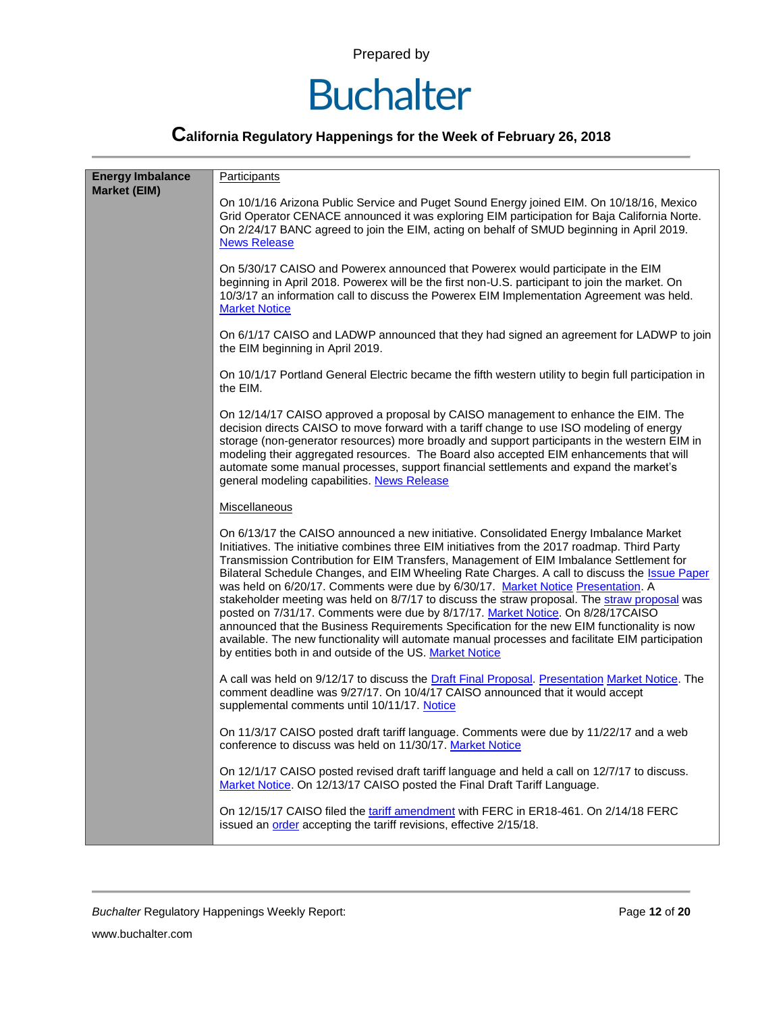

| <b>Energy Imbalance</b> | <b>Participants</b>                                                                                                                                                                                                                                                                                                                                                                                                                                                                                                                                                                                                                                                                                                                                                                                                                                                                                                     |  |  |  |
|-------------------------|-------------------------------------------------------------------------------------------------------------------------------------------------------------------------------------------------------------------------------------------------------------------------------------------------------------------------------------------------------------------------------------------------------------------------------------------------------------------------------------------------------------------------------------------------------------------------------------------------------------------------------------------------------------------------------------------------------------------------------------------------------------------------------------------------------------------------------------------------------------------------------------------------------------------------|--|--|--|
| <b>Market (EIM)</b>     | On 10/1/16 Arizona Public Service and Puget Sound Energy joined EIM. On 10/18/16, Mexico<br>Grid Operator CENACE announced it was exploring EIM participation for Baja California Norte.<br>On 2/24/17 BANC agreed to join the EIM, acting on behalf of SMUD beginning in April 2019.<br><b>News Release</b>                                                                                                                                                                                                                                                                                                                                                                                                                                                                                                                                                                                                            |  |  |  |
|                         | On 5/30/17 CAISO and Powerex announced that Powerex would participate in the EIM<br>beginning in April 2018. Powerex will be the first non-U.S. participant to join the market. On<br>10/3/17 an information call to discuss the Powerex EIM Implementation Agreement was held.<br><b>Market Notice</b>                                                                                                                                                                                                                                                                                                                                                                                                                                                                                                                                                                                                                 |  |  |  |
|                         | On 6/1/17 CAISO and LADWP announced that they had signed an agreement for LADWP to join<br>the EIM beginning in April 2019.                                                                                                                                                                                                                                                                                                                                                                                                                                                                                                                                                                                                                                                                                                                                                                                             |  |  |  |
|                         | On 10/1/17 Portland General Electric became the fifth western utility to begin full participation in<br>the EIM.                                                                                                                                                                                                                                                                                                                                                                                                                                                                                                                                                                                                                                                                                                                                                                                                        |  |  |  |
|                         | On 12/14/17 CAISO approved a proposal by CAISO management to enhance the EIM. The<br>decision directs CAISO to move forward with a tariff change to use ISO modeling of energy<br>storage (non-generator resources) more broadly and support participants in the western EIM in<br>modeling their aggregated resources. The Board also accepted EIM enhancements that will<br>automate some manual processes, support financial settlements and expand the market's<br>general modeling capabilities. News Release                                                                                                                                                                                                                                                                                                                                                                                                      |  |  |  |
|                         | Miscellaneous                                                                                                                                                                                                                                                                                                                                                                                                                                                                                                                                                                                                                                                                                                                                                                                                                                                                                                           |  |  |  |
|                         | On 6/13/17 the CAISO announced a new initiative. Consolidated Energy Imbalance Market<br>Initiatives. The initiative combines three EIM initiatives from the 2017 roadmap. Third Party<br>Transmission Contribution for EIM Transfers, Management of EIM Imbalance Settlement for<br>Bilateral Schedule Changes, and EIM Wheeling Rate Charges. A call to discuss the Issue Paper<br>was held on 6/20/17. Comments were due by 6/30/17. Market Notice Presentation. A<br>stakeholder meeting was held on 8/7/17 to discuss the straw proposal. The straw proposal was<br>posted on 7/31/17. Comments were due by 8/17/17. Market Notice. On 8/28/17CAISO<br>announced that the Business Requirements Specification for the new EIM functionality is now<br>available. The new functionality will automate manual processes and facilitate EIM participation<br>by entities both in and outside of the US. Market Notice |  |  |  |
|                         | A call was held on 9/12/17 to discuss the Draft Final Proposal. Presentation Market Notice. The<br>comment deadline was 9/27/17. On 10/4/17 CAISO announced that it would accept<br>supplemental comments until 10/11/17. Notice                                                                                                                                                                                                                                                                                                                                                                                                                                                                                                                                                                                                                                                                                        |  |  |  |
|                         | On 11/3/17 CAISO posted draft tariff language. Comments were due by 11/22/17 and a web<br>conference to discuss was held on 11/30/17. Market Notice                                                                                                                                                                                                                                                                                                                                                                                                                                                                                                                                                                                                                                                                                                                                                                     |  |  |  |
|                         | On 12/1/17 CAISO posted revised draft tariff language and held a call on 12/7/17 to discuss.<br>Market Notice. On 12/13/17 CAISO posted the Final Draft Tariff Language.                                                                                                                                                                                                                                                                                                                                                                                                                                                                                                                                                                                                                                                                                                                                                |  |  |  |
|                         | On 12/15/17 CAISO filed the tariff amendment with FERC in ER18-461. On 2/14/18 FERC<br>issued an order accepting the tariff revisions, effective 2/15/18.                                                                                                                                                                                                                                                                                                                                                                                                                                                                                                                                                                                                                                                                                                                                                               |  |  |  |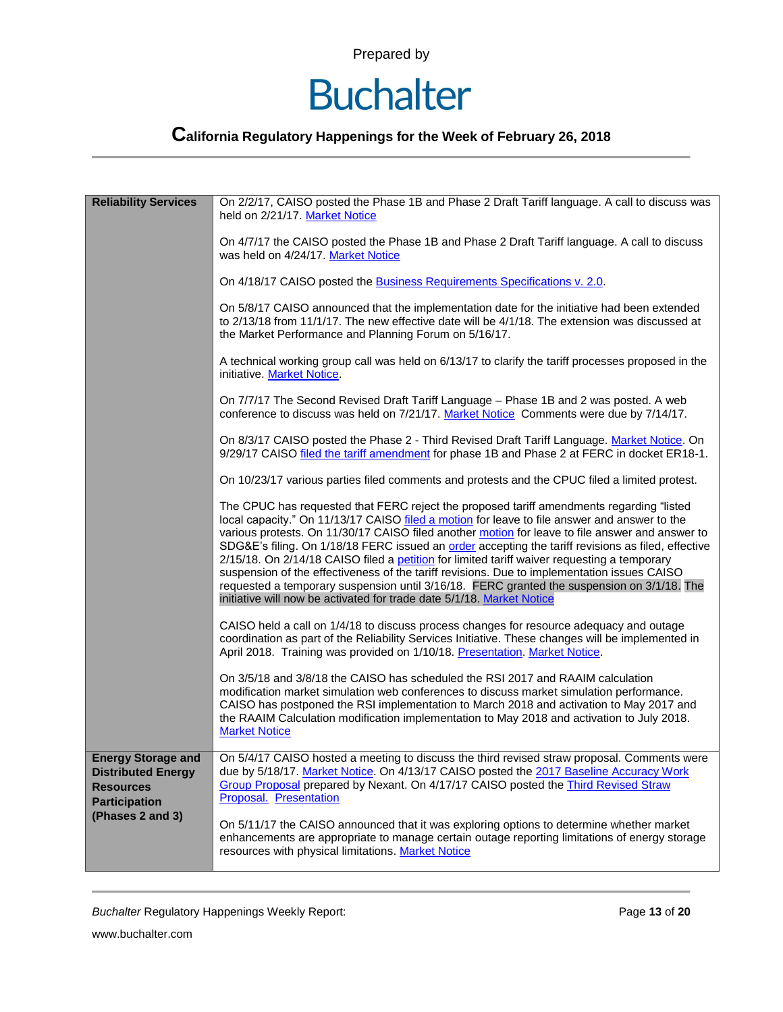### **Buchalter**

| <b>Reliability Services</b>                                                                        | On 2/2/17, CAISO posted the Phase 1B and Phase 2 Draft Tariff language. A call to discuss was<br>held on 2/21/17. Market Notice                                                                                                                                                                                                                                                                                                                                                                                                                                                                                                                                                                                                                                        |  |  |  |  |
|----------------------------------------------------------------------------------------------------|------------------------------------------------------------------------------------------------------------------------------------------------------------------------------------------------------------------------------------------------------------------------------------------------------------------------------------------------------------------------------------------------------------------------------------------------------------------------------------------------------------------------------------------------------------------------------------------------------------------------------------------------------------------------------------------------------------------------------------------------------------------------|--|--|--|--|
|                                                                                                    | On 4/7/17 the CAISO posted the Phase 1B and Phase 2 Draft Tariff language. A call to discuss<br>was held on 4/24/17. Market Notice                                                                                                                                                                                                                                                                                                                                                                                                                                                                                                                                                                                                                                     |  |  |  |  |
|                                                                                                    | On 4/18/17 CAISO posted the Business Requirements Specifications v. 2.0.                                                                                                                                                                                                                                                                                                                                                                                                                                                                                                                                                                                                                                                                                               |  |  |  |  |
|                                                                                                    | On 5/8/17 CAISO announced that the implementation date for the initiative had been extended<br>to 2/13/18 from 11/1/17. The new effective date will be 4/1/18. The extension was discussed at<br>the Market Performance and Planning Forum on 5/16/17.                                                                                                                                                                                                                                                                                                                                                                                                                                                                                                                 |  |  |  |  |
|                                                                                                    | A technical working group call was held on 6/13/17 to clarify the tariff processes proposed in the<br>initiative. Market Notice.                                                                                                                                                                                                                                                                                                                                                                                                                                                                                                                                                                                                                                       |  |  |  |  |
|                                                                                                    | On 7/7/17 The Second Revised Draft Tariff Language - Phase 1B and 2 was posted. A web<br>conference to discuss was held on 7/21/17. Market Notice Comments were due by 7/14/17.                                                                                                                                                                                                                                                                                                                                                                                                                                                                                                                                                                                        |  |  |  |  |
|                                                                                                    | On 8/3/17 CAISO posted the Phase 2 - Third Revised Draft Tariff Language. Market Notice. On<br>9/29/17 CAISO filed the tariff amendment for phase 1B and Phase 2 at FERC in docket ER18-1.                                                                                                                                                                                                                                                                                                                                                                                                                                                                                                                                                                             |  |  |  |  |
|                                                                                                    | On 10/23/17 various parties filed comments and protests and the CPUC filed a limited protest.                                                                                                                                                                                                                                                                                                                                                                                                                                                                                                                                                                                                                                                                          |  |  |  |  |
|                                                                                                    | The CPUC has requested that FERC reject the proposed tariff amendments regarding "listed<br>local capacity." On 11/13/17 CAISO filed a motion for leave to file answer and answer to the<br>various protests. On 11/30/17 CAISO filed another motion for leave to file answer and answer to<br>SDG&E's filing. On 1/18/18 FERC issued an order accepting the tariff revisions as filed, effective<br>2/15/18. On 2/14/18 CAISO filed a petition for limited tariff waiver requesting a temporary<br>suspension of the effectiveness of the tariff revisions. Due to implementation issues CAISO<br>requested a temporary suspension until 3/16/18. FERC granted the suspension on 3/1/18. The<br>initiative will now be activated for trade date 5/1/18. Market Notice |  |  |  |  |
|                                                                                                    | CAISO held a call on 1/4/18 to discuss process changes for resource adequacy and outage<br>coordination as part of the Reliability Services Initiative. These changes will be implemented in<br>April 2018. Training was provided on 1/10/18. Presentation. Market Notice.                                                                                                                                                                                                                                                                                                                                                                                                                                                                                             |  |  |  |  |
|                                                                                                    | On 3/5/18 and 3/8/18 the CAISO has scheduled the RSI 2017 and RAAIM calculation<br>modification market simulation web conferences to discuss market simulation performance.<br>CAISO has postponed the RSI implementation to March 2018 and activation to May 2017 and<br>the RAAIM Calculation modification implementation to May 2018 and activation to July 2018.<br><b>Market Notice</b>                                                                                                                                                                                                                                                                                                                                                                           |  |  |  |  |
| <b>Energy Storage and</b><br><b>Distributed Energy</b><br><b>Resources</b><br><b>Participation</b> | On 5/4/17 CAISO hosted a meeting to discuss the third revised straw proposal. Comments were<br>due by 5/18/17. Market Notice. On 4/13/17 CAISO posted the 2017 Baseline Accuracy Work<br>Group Proposal prepared by Nexant. On 4/17/17 CAISO posted the Third Revised Straw<br>Proposal. Presentation                                                                                                                                                                                                                                                                                                                                                                                                                                                                  |  |  |  |  |
| (Phases 2 and 3)                                                                                   | On 5/11/17 the CAISO announced that it was exploring options to determine whether market<br>enhancements are appropriate to manage certain outage reporting limitations of energy storage<br>resources with physical limitations. Market Notice                                                                                                                                                                                                                                                                                                                                                                                                                                                                                                                        |  |  |  |  |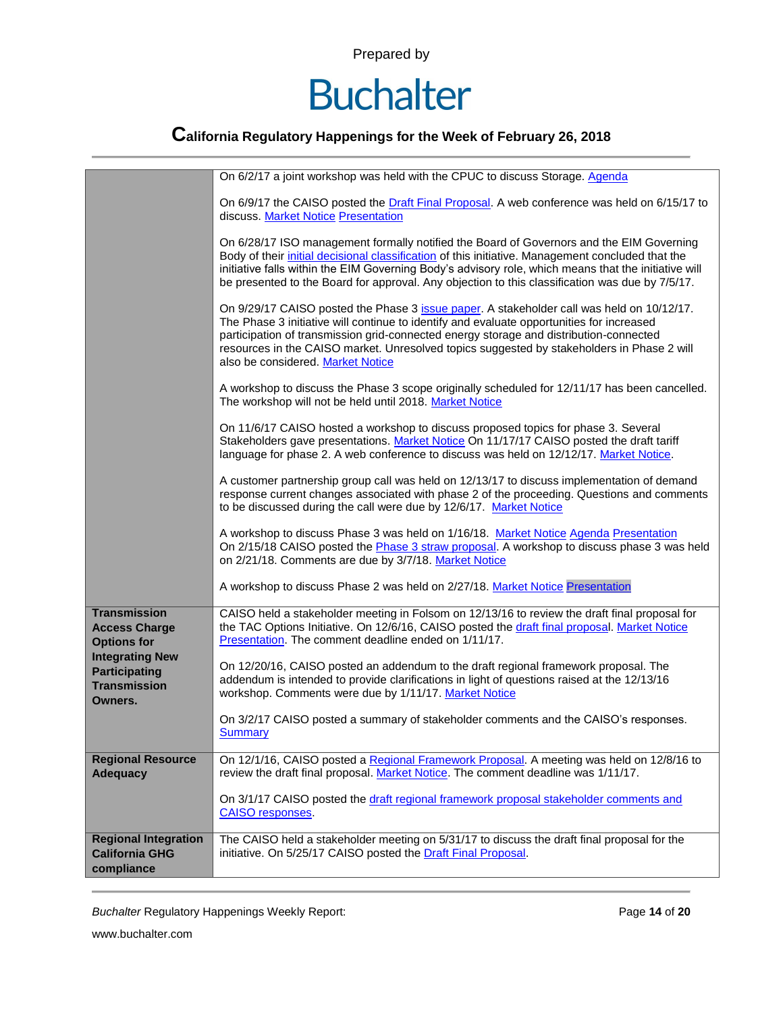

|                                                                                  | On 6/2/17 a joint workshop was held with the CPUC to discuss Storage. Agenda                                                                                                                                                                                                                                                                                                                                        |  |  |  |
|----------------------------------------------------------------------------------|---------------------------------------------------------------------------------------------------------------------------------------------------------------------------------------------------------------------------------------------------------------------------------------------------------------------------------------------------------------------------------------------------------------------|--|--|--|
|                                                                                  | On 6/9/17 the CAISO posted the Draft Final Proposal. A web conference was held on 6/15/17 to<br>discuss. Market Notice Presentation                                                                                                                                                                                                                                                                                 |  |  |  |
|                                                                                  | On 6/28/17 ISO management formally notified the Board of Governors and the EIM Governing<br>Body of their initial decisional classification of this initiative. Management concluded that the<br>initiative falls within the EIM Governing Body's advisory role, which means that the initiative will<br>be presented to the Board for approval. Any objection to this classification was due by 7/5/17.            |  |  |  |
|                                                                                  | On 9/29/17 CAISO posted the Phase 3 issue paper. A stakeholder call was held on 10/12/17.<br>The Phase 3 initiative will continue to identify and evaluate opportunities for increased<br>participation of transmission grid-connected energy storage and distribution-connected<br>resources in the CAISO market. Unresolved topics suggested by stakeholders in Phase 2 will<br>also be considered. Market Notice |  |  |  |
|                                                                                  | A workshop to discuss the Phase 3 scope originally scheduled for 12/11/17 has been cancelled.<br>The workshop will not be held until 2018. Market Notice                                                                                                                                                                                                                                                            |  |  |  |
|                                                                                  | On 11/6/17 CAISO hosted a workshop to discuss proposed topics for phase 3. Several<br>Stakeholders gave presentations. Market Notice On 11/17/17 CAISO posted the draft tariff<br>language for phase 2. A web conference to discuss was held on 12/12/17. Market Notice.                                                                                                                                            |  |  |  |
|                                                                                  | A customer partnership group call was held on 12/13/17 to discuss implementation of demand<br>response current changes associated with phase 2 of the proceeding. Questions and comments<br>to be discussed during the call were due by 12/6/17. Market Notice                                                                                                                                                      |  |  |  |
|                                                                                  | A workshop to discuss Phase 3 was held on 1/16/18. Market Notice Agenda Presentation<br>On 2/15/18 CAISO posted the Phase 3 straw proposal. A workshop to discuss phase 3 was held<br>on 2/21/18. Comments are due by 3/7/18. Market Notice                                                                                                                                                                         |  |  |  |
|                                                                                  | A workshop to discuss Phase 2 was held on 2/27/18. Market Notice Presentation                                                                                                                                                                                                                                                                                                                                       |  |  |  |
| <b>Transmission</b><br><b>Access Charge</b><br><b>Options for</b>                | CAISO held a stakeholder meeting in Folsom on 12/13/16 to review the draft final proposal for<br>the TAC Options Initiative. On 12/6/16, CAISO posted the draft final proposal. Market Notice<br>Presentation. The comment deadline ended on 1/11/17.                                                                                                                                                               |  |  |  |
| <b>Integrating New</b><br><b>Participating</b><br><b>Transmission</b><br>Owners. | On 12/20/16, CAISO posted an addendum to the draft regional framework proposal. The<br>addendum is intended to provide clarifications in light of questions raised at the 12/13/16<br>workshop. Comments were due by 1/11/17. Market Notice                                                                                                                                                                         |  |  |  |
|                                                                                  | On 3/2/17 CAISO posted a summary of stakeholder comments and the CAISO's responses.<br>Summary                                                                                                                                                                                                                                                                                                                      |  |  |  |
| <b>Regional Resource</b><br><b>Adequacy</b>                                      | On 12/1/16, CAISO posted a Regional Framework Proposal. A meeting was held on 12/8/16 to<br>review the draft final proposal. Market Notice. The comment deadline was 1/11/17.                                                                                                                                                                                                                                       |  |  |  |
|                                                                                  | On 3/1/17 CAISO posted the draft regional framework proposal stakeholder comments and<br><b>CAISO</b> responses.                                                                                                                                                                                                                                                                                                    |  |  |  |
| <b>Regional Integration</b><br><b>California GHG</b><br>compliance               | The CAISO held a stakeholder meeting on 5/31/17 to discuss the draft final proposal for the<br>initiative. On 5/25/17 CAISO posted the Draft Final Proposal.                                                                                                                                                                                                                                                        |  |  |  |

*Buchalter* Regulatory Happenings Weekly Report: Page **14** of **20**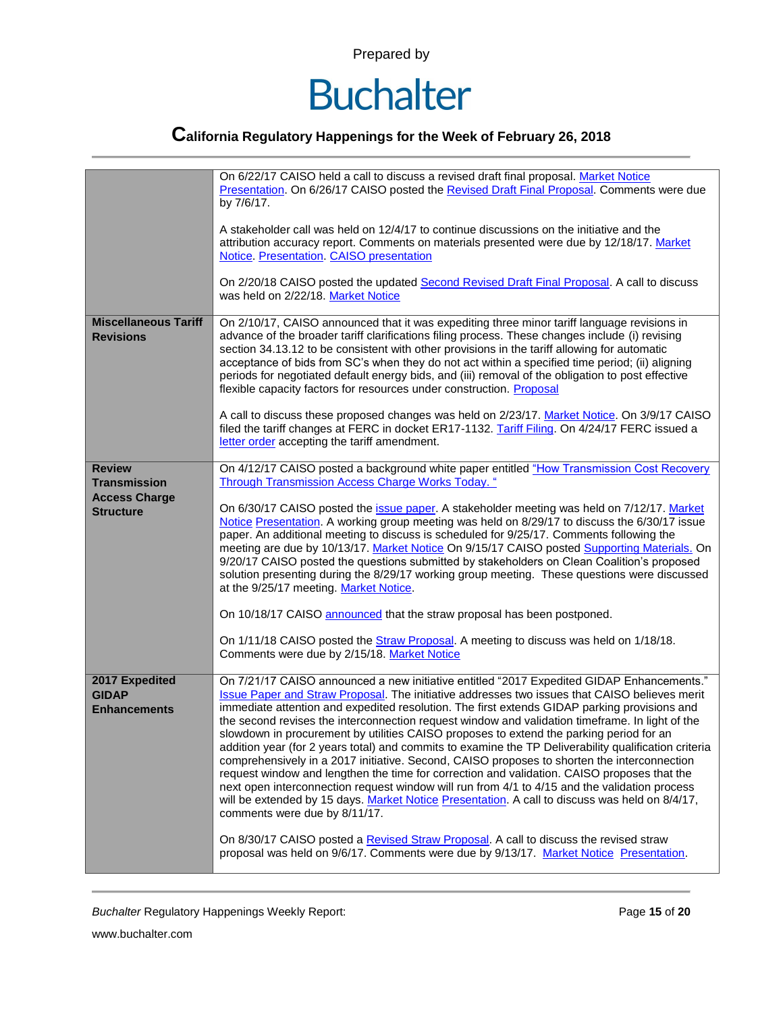

### **California Regulatory Happenings for the Week of February 26, 2018**

|                                                                                  | On 6/22/17 CAISO held a call to discuss a revised draft final proposal. Market Notice<br>Presentation. On 6/26/17 CAISO posted the Revised Draft Final Proposal. Comments were due<br>by 7/6/17.<br>A stakeholder call was held on 12/4/17 to continue discussions on the initiative and the<br>attribution accuracy report. Comments on materials presented were due by 12/18/17. Market<br>Notice. Presentation. CAISO presentation<br>On 2/20/18 CAISO posted the updated Second Revised Draft Final Proposal. A call to discuss<br>was held on 2/22/18. Market Notice                                                                                                                                                                                                                                                                                                                                                                                                                                                                                                                                                                                                                                              |
|----------------------------------------------------------------------------------|------------------------------------------------------------------------------------------------------------------------------------------------------------------------------------------------------------------------------------------------------------------------------------------------------------------------------------------------------------------------------------------------------------------------------------------------------------------------------------------------------------------------------------------------------------------------------------------------------------------------------------------------------------------------------------------------------------------------------------------------------------------------------------------------------------------------------------------------------------------------------------------------------------------------------------------------------------------------------------------------------------------------------------------------------------------------------------------------------------------------------------------------------------------------------------------------------------------------|
| <b>Miscellaneous Tariff</b><br><b>Revisions</b>                                  | On 2/10/17, CAISO announced that it was expediting three minor tariff language revisions in<br>advance of the broader tariff clarifications filing process. These changes include (i) revising<br>section 34.13.12 to be consistent with other provisions in the tariff allowing for automatic<br>acceptance of bids from SC's when they do not act within a specified time period; (ii) aligning<br>periods for negotiated default energy bids, and (iii) removal of the obligation to post effective<br>flexible capacity factors for resources under construction. Proposal<br>A call to discuss these proposed changes was held on 2/23/17. Market Notice. On 3/9/17 CAISO<br>filed the tariff changes at FERC in docket ER17-1132. Tariff Filing. On 4/24/17 FERC issued a<br>letter order accepting the tariff amendment.                                                                                                                                                                                                                                                                                                                                                                                        |
| <b>Review</b><br><b>Transmission</b><br><b>Access Charge</b><br><b>Structure</b> | On 4/12/17 CAISO posted a background white paper entitled "How Transmission Cost Recovery<br>Through Transmission Access Charge Works Today. "<br>On 6/30/17 CAISO posted the issue paper. A stakeholder meeting was held on 7/12/17. Market<br>Notice Presentation. A working group meeting was held on 8/29/17 to discuss the 6/30/17 issue<br>paper. An additional meeting to discuss is scheduled for 9/25/17. Comments following the<br>meeting are due by 10/13/17. Market Notice On 9/15/17 CAISO posted Supporting Materials. On<br>9/20/17 CAISO posted the questions submitted by stakeholders on Clean Coalition's proposed<br>solution presenting during the 8/29/17 working group meeting. These questions were discussed<br>at the 9/25/17 meeting. Market Notice.<br>On 10/18/17 CAISO announced that the straw proposal has been postponed.<br>On 1/11/18 CAISO posted the Straw Proposal. A meeting to discuss was held on 1/18/18.<br>Comments were due by 2/15/18. Market Notice                                                                                                                                                                                                                    |
| 2017 Expedited<br><b>GIDAP</b><br><b>Enhancements</b>                            | On 7/21/17 CAISO announced a new initiative entitled "2017 Expedited GIDAP Enhancements."<br>Issue Paper and Straw Proposal. The initiative addresses two issues that CAISO believes merit<br>immediate attention and expedited resolution. The first extends GIDAP parking provisions and<br>the second revises the interconnection request window and validation timeframe. In light of the<br>slowdown in procurement by utilities CAISO proposes to extend the parking period for an<br>addition year (for 2 years total) and commits to examine the TP Deliverability qualification criteria<br>comprehensively in a 2017 initiative. Second, CAISO proposes to shorten the interconnection<br>request window and lengthen the time for correction and validation. CAISO proposes that the<br>next open interconnection request window will run from 4/1 to 4/15 and the validation process<br>will be extended by 15 days. Market Notice Presentation. A call to discuss was held on 8/4/17,<br>comments were due by 8/11/17.<br>On 8/30/17 CAISO posted a Revised Straw Proposal. A call to discuss the revised straw<br>proposal was held on 9/6/17. Comments were due by 9/13/17. Market Notice Presentation. |

*Buchalter* Regulatory Happenings Weekly Report: Page **15** of **20**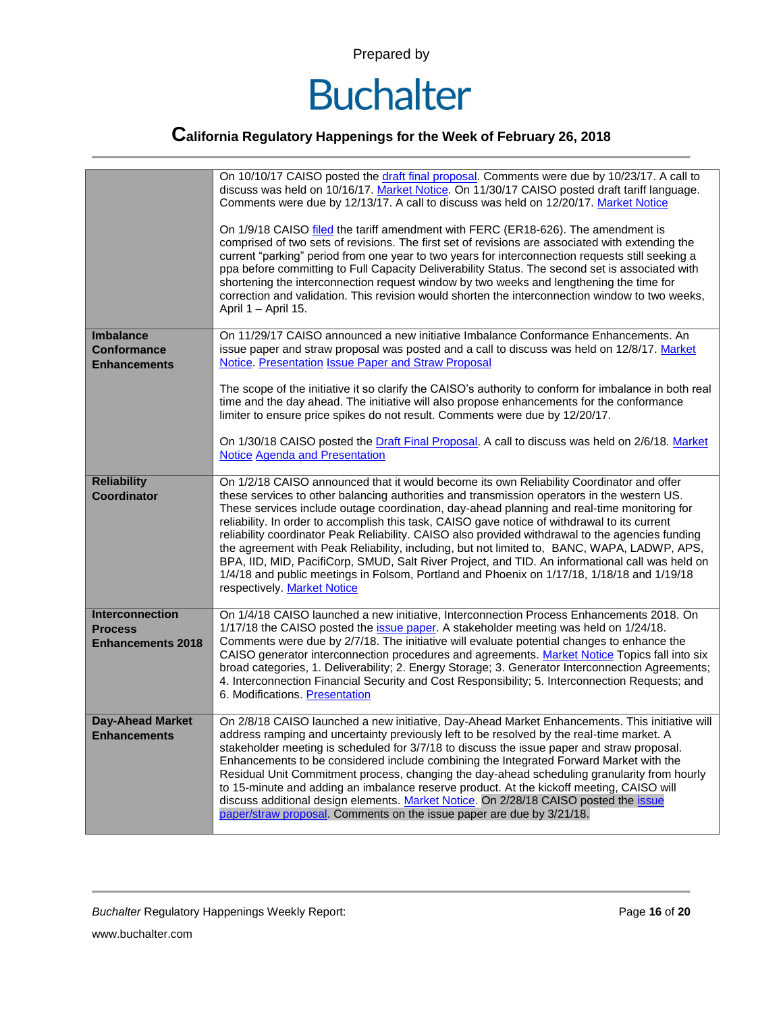

|                                                                      | On 10/10/17 CAISO posted the draft final proposal. Comments were due by 10/23/17. A call to<br>discuss was held on 10/16/17. Market Notice. On 11/30/17 CAISO posted draft tariff language.<br>Comments were due by 12/13/17. A call to discuss was held on 12/20/17. Market Notice<br>On 1/9/18 CAISO filed the tariff amendment with FERC (ER18-626). The amendment is<br>comprised of two sets of revisions. The first set of revisions are associated with extending the<br>current "parking" period from one year to two years for interconnection requests still seeking a<br>ppa before committing to Full Capacity Deliverability Status. The second set is associated with<br>shortening the interconnection request window by two weeks and lengthening the time for<br>correction and validation. This revision would shorten the interconnection window to two weeks,<br>April 1 - April 15. |
|----------------------------------------------------------------------|----------------------------------------------------------------------------------------------------------------------------------------------------------------------------------------------------------------------------------------------------------------------------------------------------------------------------------------------------------------------------------------------------------------------------------------------------------------------------------------------------------------------------------------------------------------------------------------------------------------------------------------------------------------------------------------------------------------------------------------------------------------------------------------------------------------------------------------------------------------------------------------------------------|
| <b>Imbalance</b><br><b>Conformance</b><br><b>Enhancements</b>        | On 11/29/17 CAISO announced a new initiative Imbalance Conformance Enhancements. An<br>issue paper and straw proposal was posted and a call to discuss was held on 12/8/17. Market<br>Notice. Presentation Issue Paper and Straw Proposal<br>The scope of the initiative it so clarify the CAISO's authority to conform for imbalance in both real<br>time and the day ahead. The initiative will also propose enhancements for the conformance<br>limiter to ensure price spikes do not result. Comments were due by 12/20/17.                                                                                                                                                                                                                                                                                                                                                                          |
|                                                                      | On 1/30/18 CAISO posted the Draft Final Proposal. A call to discuss was held on 2/6/18. Market<br><b>Notice Agenda and Presentation</b>                                                                                                                                                                                                                                                                                                                                                                                                                                                                                                                                                                                                                                                                                                                                                                  |
| <b>Reliability</b><br><b>Coordinator</b>                             | On 1/2/18 CAISO announced that it would become its own Reliability Coordinator and offer<br>these services to other balancing authorities and transmission operators in the western US.<br>These services include outage coordination, day-ahead planning and real-time monitoring for<br>reliability. In order to accomplish this task, CAISO gave notice of withdrawal to its current<br>reliability coordinator Peak Reliability. CAISO also provided withdrawal to the agencies funding<br>the agreement with Peak Reliability, including, but not limited to, BANC, WAPA, LADWP, APS,<br>BPA, IID, MID, PacifiCorp, SMUD, Salt River Project, and TID. An informational call was held on<br>1/4/18 and public meetings in Folsom, Portland and Phoenix on 1/17/18, 1/18/18 and 1/19/18<br>respectively. Market Notice                                                                               |
| <b>Interconnection</b><br><b>Process</b><br><b>Enhancements 2018</b> | On 1/4/18 CAISO launched a new initiative, Interconnection Process Enhancements 2018. On<br>1/17/18 the CAISO posted the issue paper. A stakeholder meeting was held on 1/24/18.<br>Comments were due by 2/7/18. The initiative will evaluate potential changes to enhance the<br>CAISO generator interconnection procedures and agreements. Market Notice Topics fall into six<br>broad categories, 1. Deliverability; 2. Energy Storage; 3. Generator Interconnection Agreements;<br>4. Interconnection Financial Security and Cost Responsibility; 5. Interconnection Requests; and<br>6. Modifications. Presentation                                                                                                                                                                                                                                                                                 |
| <b>Day-Ahead Market</b><br><b>Enhancements</b>                       | On 2/8/18 CAISO launched a new initiative, Day-Ahead Market Enhancements. This initiative will<br>address ramping and uncertainty previously left to be resolved by the real-time market. A<br>stakeholder meeting is scheduled for 3/7/18 to discuss the issue paper and straw proposal.<br>Enhancements to be considered include combining the Integrated Forward Market with the<br>Residual Unit Commitment process, changing the day-ahead scheduling granularity from hourly<br>to 15-minute and adding an imbalance reserve product. At the kickoff meeting, CAISO will<br>discuss additional design elements. Market Notice. On 2/28/18 CAISO posted the issue<br>paper/straw proposal. Comments on the issue paper are due by 3/21/18.                                                                                                                                                          |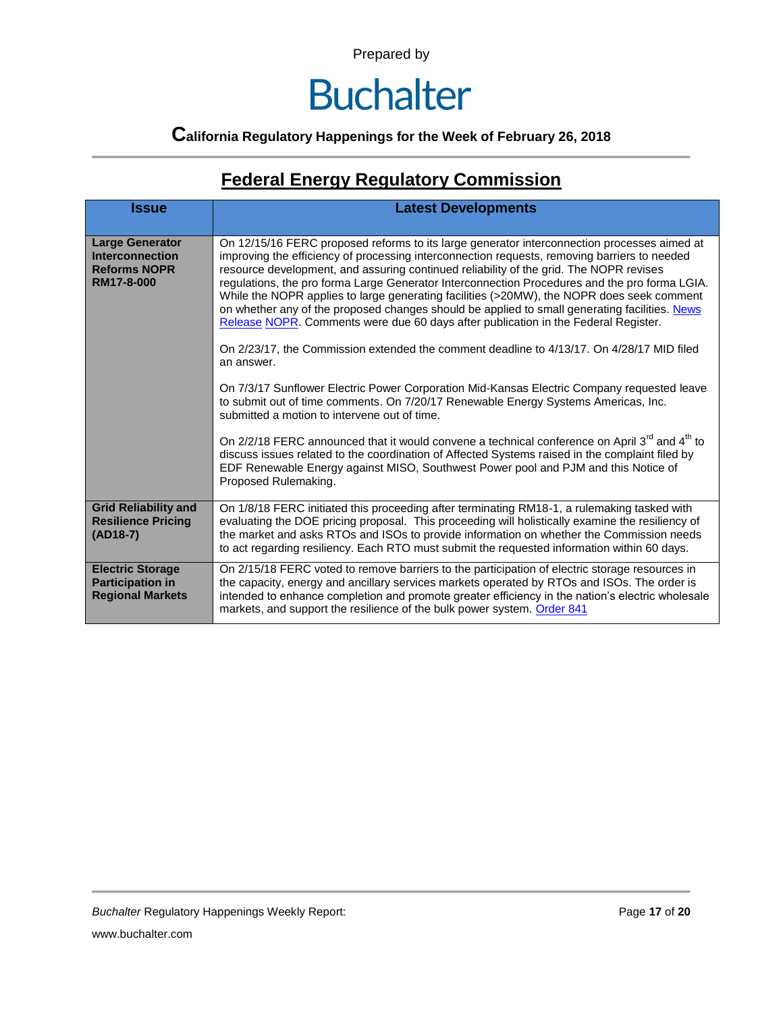### **Buchalter**

#### **California Regulatory Happenings for the Week of February 26, 2018**

### **Federal Energy Regulatory Commission**

| <b>Issue</b>                                                                          | <b>Latest Developments</b>                                                                                                                                                                                                                                                                                                                                                                                                                                                                                                                                                                                                                                                 |  |  |  |  |
|---------------------------------------------------------------------------------------|----------------------------------------------------------------------------------------------------------------------------------------------------------------------------------------------------------------------------------------------------------------------------------------------------------------------------------------------------------------------------------------------------------------------------------------------------------------------------------------------------------------------------------------------------------------------------------------------------------------------------------------------------------------------------|--|--|--|--|
| <b>Large Generator</b><br><b>Interconnection</b><br><b>Reforms NOPR</b><br>RM17-8-000 | On 12/15/16 FERC proposed reforms to its large generator interconnection processes aimed at<br>improving the efficiency of processing interconnection requests, removing barriers to needed<br>resource development, and assuring continued reliability of the grid. The NOPR revises<br>regulations, the pro forma Large Generator Interconnection Procedures and the pro forma LGIA.<br>While the NOPR applies to large generating facilities (>20MW), the NOPR does seek comment<br>on whether any of the proposed changes should be applied to small generating facilities. News<br>Release NOPR. Comments were due 60 days after publication in the Federal Register. |  |  |  |  |
|                                                                                       | On 2/23/17, the Commission extended the comment deadline to 4/13/17. On 4/28/17 MID filed<br>an answer.                                                                                                                                                                                                                                                                                                                                                                                                                                                                                                                                                                    |  |  |  |  |
|                                                                                       | On 7/3/17 Sunflower Electric Power Corporation Mid-Kansas Electric Company requested leave<br>to submit out of time comments. On 7/20/17 Renewable Energy Systems Americas, Inc.<br>submitted a motion to intervene out of time.                                                                                                                                                                                                                                                                                                                                                                                                                                           |  |  |  |  |
|                                                                                       | On 2/2/18 FERC announced that it would convene a technical conference on April 3 <sup>rd</sup> and 4 <sup>th</sup> to<br>discuss issues related to the coordination of Affected Systems raised in the complaint filed by<br>EDF Renewable Energy against MISO, Southwest Power pool and PJM and this Notice of<br>Proposed Rulemaking.                                                                                                                                                                                                                                                                                                                                     |  |  |  |  |
| <b>Grid Reliability and</b><br><b>Resilience Pricing</b><br>$(AD18-7)$                | On 1/8/18 FERC initiated this proceeding after terminating RM18-1, a rulemaking tasked with<br>evaluating the DOE pricing proposal. This proceeding will holistically examine the resiliency of<br>the market and asks RTOs and ISOs to provide information on whether the Commission needs<br>to act regarding resiliency. Each RTO must submit the requested information within 60 days.                                                                                                                                                                                                                                                                                 |  |  |  |  |
| <b>Electric Storage</b><br><b>Participation in</b><br><b>Regional Markets</b>         | On 2/15/18 FERC voted to remove barriers to the participation of electric storage resources in<br>the capacity, energy and ancillary services markets operated by RTOs and ISOs. The order is<br>intended to enhance completion and promote greater efficiency in the nation's electric wholesale<br>markets, and support the resilience of the bulk power system. Order 841                                                                                                                                                                                                                                                                                               |  |  |  |  |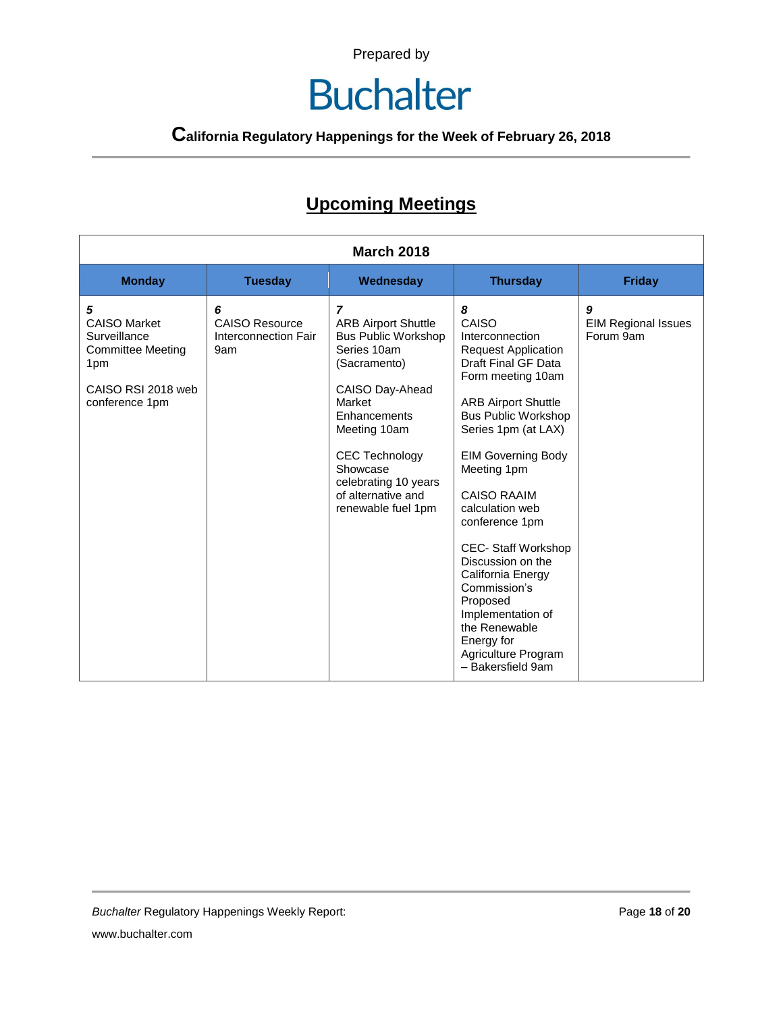### **Buchalter**

### **California Regulatory Happenings for the Week of February 26, 2018**

#### **Upcoming Meetings**

| <b>March 2018</b>                                                                                                   |                                                           |                                                                                                                                                                                                                                                                                 |                                                                                                                                                                                                                                                                                                                                                                                                                                                                                                       |                                              |
|---------------------------------------------------------------------------------------------------------------------|-----------------------------------------------------------|---------------------------------------------------------------------------------------------------------------------------------------------------------------------------------------------------------------------------------------------------------------------------------|-------------------------------------------------------------------------------------------------------------------------------------------------------------------------------------------------------------------------------------------------------------------------------------------------------------------------------------------------------------------------------------------------------------------------------------------------------------------------------------------------------|----------------------------------------------|
| <b>Monday</b>                                                                                                       | <b>Tuesday</b>                                            | Wednesday                                                                                                                                                                                                                                                                       | <b>Thursday</b>                                                                                                                                                                                                                                                                                                                                                                                                                                                                                       | Friday                                       |
| 5<br><b>CAISO Market</b><br>Surveillance<br><b>Committee Meeting</b><br>1pm<br>CAISO RSI 2018 web<br>conference 1pm | 6<br><b>CAISO Resource</b><br>Interconnection Fair<br>9am | $\overline{z}$<br><b>ARB Airport Shuttle</b><br><b>Bus Public Workshop</b><br>Series 10am<br>(Sacramento)<br>CAISO Day-Ahead<br>Market<br>Enhancements<br>Meeting 10am<br><b>CEC Technology</b><br>Showcase<br>celebrating 10 years<br>of alternative and<br>renewable fuel 1pm | 8<br>CAISO<br>Interconnection<br><b>Request Application</b><br>Draft Final GF Data<br>Form meeting 10am<br><b>ARB Airport Shuttle</b><br><b>Bus Public Workshop</b><br>Series 1pm (at LAX)<br><b>EIM Governing Body</b><br>Meeting 1pm<br><b>CAISO RAAIM</b><br>calculation web<br>conference 1pm<br><b>CEC- Staff Workshop</b><br>Discussion on the<br>California Energy<br>Commission's<br>Proposed<br>Implementation of<br>the Renewable<br>Energy for<br>Agriculture Program<br>- Bakersfield 9am | 9<br><b>EIM Regional Issues</b><br>Forum 9am |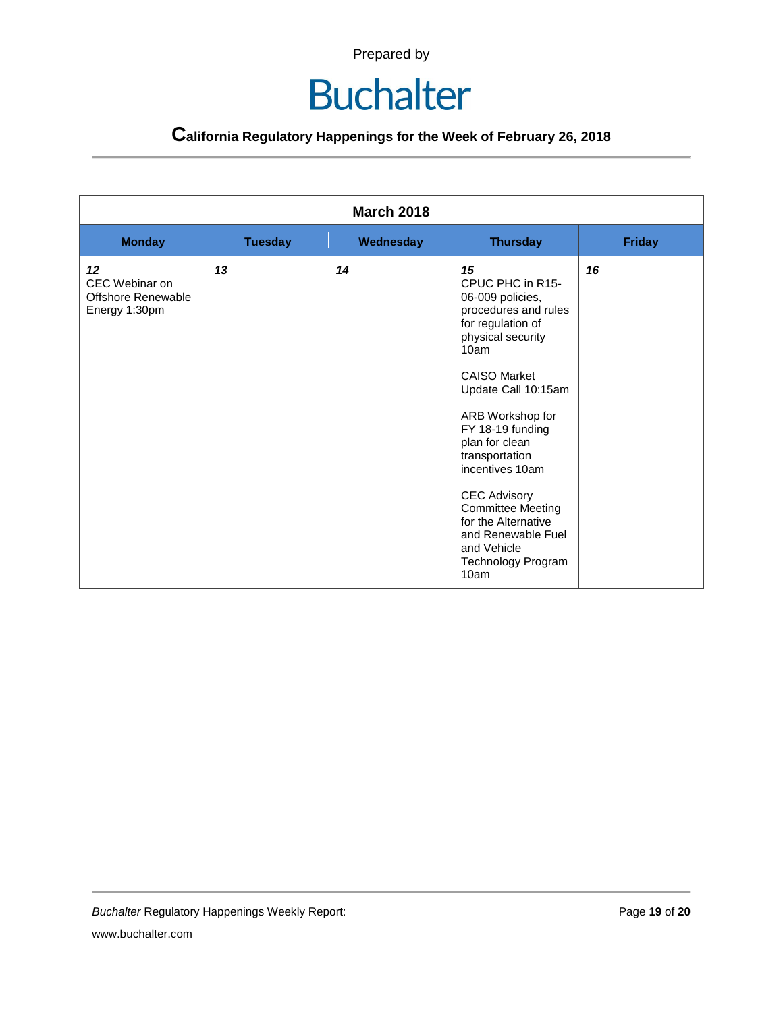| <b>March 2018</b>                                                  |                |           |                                                                                                                                                                                                                                                                                                                                                                                                                |               |
|--------------------------------------------------------------------|----------------|-----------|----------------------------------------------------------------------------------------------------------------------------------------------------------------------------------------------------------------------------------------------------------------------------------------------------------------------------------------------------------------------------------------------------------------|---------------|
| <b>Monday</b>                                                      | <b>Tuesday</b> | Wednesday | <b>Thursday</b>                                                                                                                                                                                                                                                                                                                                                                                                | <b>Friday</b> |
| 12<br>CEC Webinar on<br><b>Offshore Renewable</b><br>Energy 1:30pm | 13             | 14        | 15<br>CPUC PHC in R15-<br>06-009 policies,<br>procedures and rules<br>for regulation of<br>physical security<br>10am<br><b>CAISO Market</b><br>Update Call 10:15am<br>ARB Workshop for<br>FY 18-19 funding<br>plan for clean<br>transportation<br>incentives 10am<br><b>CEC Advisory</b><br><b>Committee Meeting</b><br>for the Alternative<br>and Renewable Fuel<br>and Vehicle<br>Technology Program<br>10am | 16            |